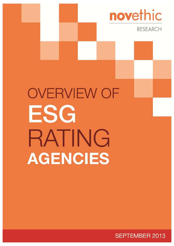

**SEPTEMBER 2013** 

novethic

**RESEARCH**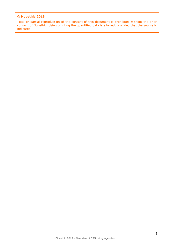#### **© Novethic 2013**

Total or partial reproduction of the content of this document is prohibited without the prior consent of Novethic. Using or citing the quantified data is allowed, provided that the source is indicated.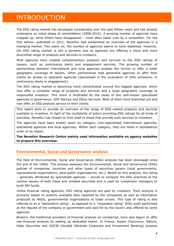# INTRODUCTION

The ESG rating market has developed considerably over the past fifteen years and has already undergone an initial phase of consolidation (2008-2010). A growing number of agencies have cropped up, while others have disappeared – most often taken over by a competitor. For the first edition, published in 2011, Novethic had established an overview of the agencies in a changing market. Two years on, the number of agencies seems to have stabilised. However, the ESG rating market is still a dynamic one as agencies are offering a more and more diversified range of products and services to investors.

Most agencies have created complementary products and services to the ESG ratings of issuers, such as controversy alerts and engagement services. The growing number of partnerships between international and local agencies enables the former to offer a wider geographic coverage of issuers. Other partnerships lead generalist agencies to offer their clients an access to specialist agencies (specialised in the evaluation of GHG emissions, in controversy alerts or engagement).

The ESG rating market is becoming more concentrated around the biggest agencies, which now offer a complete range of products and services and a large geographic coverage to responsible investors. This trend is illustrated by the cases of two well-known specialised agencies in governance: GMI Ratings and Ethos Services. Both of them have branched out and now offer an ESG analysis service to their clients.

This report aims to provide an overview of the range of ESG-related products and services available to investors. In light of the multiplicity of actors providing ESG ratings for all kinds of activities, Novethic has chosen to limit itself to those that provide such services to investors.

The agencies have been broken down by category (non-specialised international agencies, specialised agencies and local agencies). Within each category, they are listed in alphabetical order or by region.

**The Novethic Research Centre mainly used information available on agency websites to prepare this overview.**

#### **Environmental, Social and Governance analysis**

The field of Environmental, Social and Governance (ESG) analysis has been developed since the end of the 1990s. The process assesses the Environmental, Social and Governance (ESG) policies of companies, countries and other types of securities issuers (local governments, supranational organisations, para-public organisations, etc.). Based on this analysis, the rating – generally attributed by specialised agencies – serves to compare the ESG practices of the various issuers of both listed and unlisted securities and is used by investment managers to build SRI funds.

Unlike financial rating agencies, ESG rating agencies are paid by investors. Their analysis is primarily based on publicly available data reported by the companies as well as information produced by NGOs, governmental organisations or trade unions. This type of rating is also referred to as a "declarative rating", as opposed to a "requested rating" (ESG audit performed at the request of the company or government and paid for by the issuer) also offered by some agencies.

Brokers, the traditional providers of financial analysis on companies, have also begun to offer non-financial analysis by setting up dedicated teams. In France, Kepler Cheuvreux, Natixis, Oddo Securities and SGCIB (Société Générale Corporate and Investment Banking) propose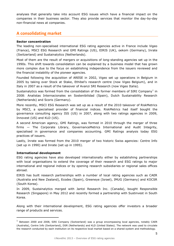analyses that generally take into account ESG issues which have a financial impact on the companies in their business sector. They also provide services that monitor the day-by-day non-financial news at companies.

### **A consolidating market**

#### **Sector concentration**

The leading non-specialised international ESG rating agencies active in France include Vigeo (France), MSCI ESG Research and GMI Ratings (US), EIRIS (UK), oekom (Germany), Inrate (Switzerland) and Sustainalytics (Netherlands).

Most of them are the result of mergers or acquisitions of long-standing agencies set up in the 1990s. This shift towards consolidation can be explained by a business model that has grown more complex due to the focus on establishing independence from the issuers reviewed and the financial instability of the pioneer agencies.

Founded following the acquisition of ARESE in 2002, Vigeo set up operations in Belgium in 2005 by taking over Stock at Stake, Ethibel's research centre (now Vigeo Belgium), and in Italy in 2007 as a result of the takeover of Avanzi SRI Research (now Vigeo Italia).

Sustainalytics was formed from the consolidation of the former members of SIRI Company<sup>1</sup> in 2008: Analistas Internacionales en Sostenibilidad (Spain), Dutch Sustainability Research (Netherlands) and Scoris (Germany).

More recently, MSCI ESG Research was set up as a result of the 2010 takeover of RiskMetrics by MSCI, a specialised provider of financial indices. RiskMetrics had itself bought the governance consulting agency ISS (US) in 2007, along with two ratings agencies in 2009, Innovest (US) and KLD (US).

A second American agency, GMI Ratings, was formed in 2010 through the merger of three firms — The Corporate Library, GovernanceMetrics International and Audit Integrity, specialised in governance and companies accounting. GMI Ratings analysis today ESG practices of issuers.

Lastly, Inrate was formed from the 2010 merger of two historic Swiss agencies: Centre Info (set up in 1990) and Inrate (set up in 1995).

#### **International development**

-

ESG rating agencies have also developed internationally either by establishing partnerships with local organisations to extend the coverage of their research and ESG ratings to major international and regional indices or by opening research subsidiaries or regional sales offices abroad.

EIRIS has built research partnerships with a number of local rating agencies such as CAER (Australia and New Zealand), Ecodes (Spain), Greeneye (Israel), IMUG (Germany) and KOCSR (South Korea).

In 2009, Sustainalytics merged with Jantzi Research Inc. (Canada), bought Responsible Research (Singapore) in May 2012 and recently formed a partnership with Sustinvest in South Korea.

Along with their international development, ESG rating agencies offer investors a broader range of products and services.

<sup>&</sup>lt;sup>1</sup> Between 2000 and 2008, SIRI Company (Switzerland) was a group encompassing local agencies, notably CAER (Australia), Centre Info (Switzerland), DSR (Netherlands) and KLD (United States). The network was used to circulate the research conducted by each institution on its respective local market based on a shared system and methodology.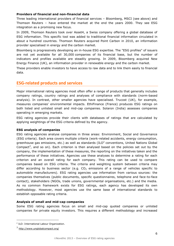#### **Providers of financial and non-financial data**

Three leading international providers of financial services – Bloomberg, MSCI (see above) and Thomson Reuters – have entered the market at the end the years 2000. They see ESG integration as a promising new focus.

In 2009, Thomson Reuters took over Asset4, a Swiss company offering a global database of ESG information. This specific tool was added to traditional financial information circulated in about a hundred countries. Thomson Reuters acquired Point Carbon in 2010, an information provider specialised in energy and the carbon market.

Bloomberg is progressively developing an in-house ESG expertise. The "ESG profiles" of issuers are not yet available for all 30,000 companies of its financial base, but the number of indicators and profiles available are steadily growing. In 2009, Bloomberg acquired New Energy Finance (UK), an information provider in renewable energy and the carbon market.

These providers enable investors to have access to raw data and to link them easily to financial data.

#### **ESG-related products and services**

Major international rating agencies most often offer a range of products that generally includes company ratings, country ratings and analyses of compliance with standards (norm-based analysis). In contrast, other smaller agencies have specialised. Trucost (UK), for example, measures companies' environmental impacts. EthiFinance (France) produces ESG ratings on both listed and unlisted small and mid-cap companies. Solaron (India) assesses companies operating in emerging markets.

ESG rating agencies provide their clients with databases of ratings that are calculated by applying weightings of the ESG criteria defined by the agency.

#### **ESG analysis of companies**

ESG rating agencies analyse companies in three areas: Environment, Social and Governance (ESG criteria). Each area covers multiple criteria (work-related accidents, energy consumption, greenhouse gas emissions, etc.) as well as standards (ILO<sup>2</sup> conventions, United Nations Global Compact<sup>3</sup>, and so on). Each criterion is then analysed based on the policies set out by the company, the implementation of these measures, the reporting on the initiatives taken and the performance of these initiatives. Agencies use these analyses to determine a rating for each criterion and an overall rating for each company. This rating can be used to compare companies based on ESG criteria. The criteria and weighting system between criteria may differ according to business sector (e.g.  $CO<sub>2</sub>$  emissions of a range of vehicles specific to automobile manufacturers). ESG rating agencies use information from various sources: the companies themselves (public documents, specific questionnaires, telephone and face-to-face contact), stakeholders (NGOs, trade unions, governmental organisations, etc.) and the media. As no common framework exists for ESG ratings, each agency has developed its own methodology. However, most agencies use the same base of international standards to establish opposable rating criteria.

#### **Analysis of small and mid-cap companies**

Some ESG rating agencies focus on small and mid-cap quoted companies or unlisted companies for private equity investors. This requires a different methodology and increased

-

<sup>&</sup>lt;sup>2</sup> ILO: International Labour Organization.

<sup>3</sup> <http://www.unglobalcompact.org/>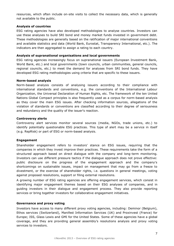resources, which often include on-site visits to collect the necessary data, which is generally not available to the public.

#### **Analysis of countries**

ESG rating agencies have also developed methodologies to analyse countries. Investors can use these analyses to build SRI bond and money market funds invested in government debt. These methodologies are generally based on the ratification of major international conventions and available statistics and data (World Bank, Eurostat, Transparency International, etc.). The indicators are then aggregated to assign a rating to each country.

#### **Analysis of supranational organisations and local governments**

ESG rating agencies increasingly focus on supranational issuers (European Investment Bank, World Bank, etc.) and local governments (town councils, urban communities, general councils, regional councils, etc.) to meet the demand for analyses from SRI bond funds. They have developed ESG rating methodologies using criteria that are specific to these issuers.

#### **Norm-based analysis**

Norm-based analysis consists of analysing issuers according to their compliance with international standards and conventions, e.g. the conventions of the International Labour Organization, the Universal Declaration of Human Rights, etc. The framework of the ten United Nations Global Compact principles is also frequently used as a corpus for norm-based analysis as they cover the main ESG issues. After checking information sources, allegations of the violation of standards or conventions are classified according to their degree of seriousness and redundancy and the quality of the issuer's reaction.

#### **Controversy alerts**

Controversy alert services monitor several sources (media, NGOs, trade unions, etc.) to identify potentially questionable ESG practices. This type of alert may be a service in itself (e.g. RepRisk) or part of ESG or norm-based analysis.

#### **Engagement**

Shareholder engagement refers to investors' stance on ESG issues, requiring that the companies in which they invest improve their practices. These requirements take the form of a structured approach based on direct dialogue with the company and long-term monitoring. Investors can use different pressure tactics if the dialogue approach does not prove effective: public disclosure on the progress of the engagement approach and the company's shortcomings on sustainable issues, impact on management that may go from a freeze to divestment, or the exercise of shareholder rights, i.e. questions in general meetings, voting against proposed resolutions, support or filing external resolutions.

A growing number of ESG rating agencies are offering engagement services, which consist in identifying major engagement themes based on their ESG analyses of companies, and in guiding investors in their dialogue and engagement process. They also provide reporting services or bring together investors for collaborative engagement initiatives.

#### **Governance and proxy voting**

Investors have access to many different proxy voting agencies, including: Deminor (Belgium), Ethos services (Switzerland), Manifest Information Services (UK) and Proxinvest (France) for Europe; ISS, Glass Lewis and GMI for the United States. Some of these agencies have a global coverage, and they are providing general assembly's resolutions analysis and proxy voting services to investors.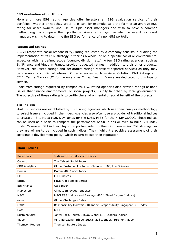#### **ESG evaluation of portfolios**

More and more ESG rating agencies offer investors an ESG evaluation service of their portfolios, whether or not they are SRI. It can, for example, take the form of an average ESG rating for asset owners who use multiple asset managers and wish to have a common methodology to compare their portfolios. Average ratings can also be useful for asset managers wishing to determine the ESG performance of a non-SRI portfolio.

#### **Requested ratings**

A CSR (corporate social responsibility) rating requested by a company consists in auditing the implementation of its CSR strategy, either as a whole, or on a specific social or environmental aspect or within a defined scope (country, division, etc.). A few ESG rating agencies, such as EthiFinance and Vigeo in France, provide requested ratings in addition to their other products. However, requested ratings and declarative ratings represent separate services as they may be a source of conflict of interest. Other agencies, such as Arcet Cotation, BMJ Ratings and CFIE (*Centre Français d'Information sur les Entreprises*) in France are dedicated to this type of service.

Apart from ratings requested by companies, ESG rating agencies also provide ratings of bond issues that finance environmental or social projects, usually launched by local governments. The objective of these ratings is to certify the environmental or social benefit of the projects.

#### **SRI indices**

Most SRI indices are established by ESG rating agencies which use their analysis methodology to select issuers included in the index. Agencies also often use a provider of traditional indices to create an SRI index (e.g. Dow Jones for the DJSI, FTSE for the FTSE4GOOD). These indices can be used as a basis to compare the performance of SRI funds or even to build SRI index funds. Moreover, SRI indices play an important role in influencing companies ESG strategy, as they are willing to be included in such indices. They highlight a positive assessment of their sustainable development policy, which in turn boosts their reputation.

| <b>Main Indices</b>    |                                                                       |
|------------------------|-----------------------------------------------------------------------|
| <b>Providers</b>       | Indices or families of indices                                        |
| Calvert                | The Calvert Social Index                                              |
| <b>CRD Analytics</b>   | Global Sustainability Index, Cleantech 100, Life Sciences             |
| Domini                 | Domini 400 Social Index                                               |
| ECPI                   | <b>ECPI Indices</b>                                                   |
| EIRIS                  | <b>FTSF4Good Index Series</b>                                         |
| <b>FthiFinance</b>     | Gaïa Index                                                            |
| Maplecroft             | Climate Innovation Indexes                                            |
| <b>MSCI</b>            | MSCI ESG Indices and Barclays MSCI (Fixed Income Indices)             |
| oekom                  | Global Challenges Index                                               |
| OWW                    | Responsibility Malaysia SRI Index, Responsibility Singapore SRI Index |
| <b>SAM</b>             | <b>DJSI</b>                                                           |
| Sustainalytics         | Jantzi Social Index, STOXX Global ESG Leaders Indices                 |
| Vigeo                  | ASPI Eurozone, Ethibel Sustainability Index, Euronext Vigeo           |
| <b>Thomson Reuters</b> | Thomson Reuters Index                                                 |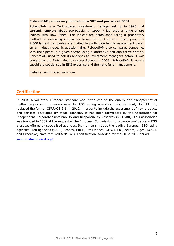#### **RobecoSAM, subsidiary dedicated to SRI and partner of DJSI**

RobecoSAM is a Zurich-based investment manager set up in 1995 that currently employs about 100 people. In 1999, it launched a range of SRI indices with Dow Jones. The indices are established using a proprietary method of assessing companies based on ESG criteria. Each year, the 2,500 largest companies are invited to participate in this assessment based on an industry-specific questionnaire. RobecoSAM also compares companies with their peers in a given sector using quantitative and qualitative criteria. RobecoSAM used to sell its analyses to investment managers before it was bought by the Dutch finance group Robeco in 2006. RobecoSAM is now a subsidiary specialised in ESG expertise and thematic fund management.

Website: [www.robecosam.com](http://www.robecosam.com/)

#### **Certification**

In 2004, a voluntary European standard was introduced on the quality and transparency of methodologies and processes used by ESG rating agencies. This standard, ARISTA 3.0, replaced the former CSRR-QS 2.1, in 2012, in order to include the assessment of new products and services developed by those agencies. It has been formulated by the Association for Independent Corporate Sustainability and Responsibility Research (AI CSRR). This association was founded in 2002 at the request of the European Commission to promote confidence in ESG analyses offered by specialised agencies. Its members include the leading European ESG rating agencies. Ten agencies (CAER, Ecodes, EIRIS, EthiFinance, GES, IMUG, oekom, Vigeo, KOCSR and Greeneye) have received ARISTA 3.0 certification, awarded for the 2012-2015 period.

[www.aristastandard.org/](http://www.aristastandard.org/)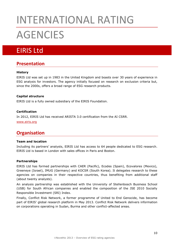# INTERNATIONAL RATING **AGENCIES**

# EIRIS Ltd

## **Presentation**

#### **History**

EIRIS Ltd was set up in 1983 in the United Kingdom and boasts over 30 years of experience in ESG analysis for investors. The agency initially focused on research on exclusion criteria but, since the 2000s, offers a broad range of ESG research products.

#### **Capital structure**

EIRIS Ltd is a fully owned subsidiary of the EIRIS Foundation.

#### **Certification**

In 2012, EIRIS Ltd has received ARISTA 3.0 certification from the AI CSRR.

[www.eiris.org](http://www.eiris.org/)

## **Organisation**

#### **Team and location**

Including its partners' analysts, EIRIS Ltd has access to 64 people dedicated to ESG research. EIRIS Ltd is based in London with sales offices in Paris and Boston.

#### **Partnerships**

EIRIS Ltd has formed partnerships with CAER (Pacific), Ecodes (Spain), Ecovalores (Mexico), Greeneye (Israel), IMUG (Germany) and KOCSR (South Korea). It delegates research to these agencies on companies in their respective countries, thus benefiting from additional staff (about twenty analysts).

An analysis partnership was established with the University of Stellenbosch Business School (USB) for South African companies and enabled the composition of the JSE 2010 Socially Responsible Investment (SRI) Index.

Finally, Conflict Risk Network, a former programme of United to End Genocide, has become part of EIRIS' global research platform in May 2013. Conflict Risk Network delivers information on corporations operating in Sudan, Burma and other conflict-affected areas.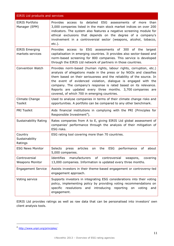| <b>EIRIS Ltd products and services</b>    |                                                                                                                                                                                                                                                                                                                                                                                                                                                                          |
|-------------------------------------------|--------------------------------------------------------------------------------------------------------------------------------------------------------------------------------------------------------------------------------------------------------------------------------------------------------------------------------------------------------------------------------------------------------------------------------------------------------------------------|
| <b>EIRIS Portfolio</b><br>Manager (EPM)   | Provides access to<br>detailed ESG assessments of more than<br>3,000 companies listed in the main stock market indices on over 200<br>indicators. The system also features a negative screening module for<br>ethical exclusions that depends on the degree of a company's<br>involvement in a controversial sector (weapons, alcohol, tobacco,<br>$etc.$ ).                                                                                                             |
| <b>EIRIS Emerging</b><br>markets services | Provides access to ESG assessments of 300<br>of the<br>largest<br>capitalisation in emerging countries. It provides also sector-based and<br>norm-based screening for 800 companies. This service is developed<br>through the EIRIS Ltd network of partners in those countries.                                                                                                                                                                                          |
| <b>Convention Watch</b>                   | Provides norm-based (human rights, labour rights, corruption, etc.)<br>analysis of allegations made in the press or by NGOs and classifies<br>them based on their seriousness and the reliability of the source. In<br>the event of evidenced violation, dialogue is engaged with the<br>company. The company's response is rated based on its relevance.<br>Reports are updated every three months. 3,700 companies are<br>covered, of which 700 in emerging countries. |
| Climate Change<br>Toolkit                 | Used to analyse companies in terms of their climate change risks and<br>opportunities. A portfolio can be compared to any other benchmark.                                                                                                                                                                                                                                                                                                                               |
| <b>PRI Toolkit</b>                        | Aids financial institutions in complying with the PRI (Principles for<br>Responsible Investment <sup>4</sup> ).                                                                                                                                                                                                                                                                                                                                                          |
| Sustainability Rating                     | Rates companies from A to E, giving EIRIS Ltd global assessment of<br>companies' performance through the analysis of their mitigation of<br>ESG risks.                                                                                                                                                                                                                                                                                                                   |
| Country<br>Sustainability<br>Ratings      | ESG rating tool covering more than 70 countries.                                                                                                                                                                                                                                                                                                                                                                                                                         |
| <b>ESG News Monitor</b>                   | <b>ESG</b><br><b>Selects</b><br>articles<br>the<br>performance<br>of<br>about<br>press<br>on<br>5,000 companies.                                                                                                                                                                                                                                                                                                                                                         |
| Controversial<br><b>Weapons Monitor</b>   | Identifies<br>manufacturers<br>of<br>controversial<br>weapons, covering<br>13,000 companies. Information is updated every three months.                                                                                                                                                                                                                                                                                                                                  |
| <b>Engagement Service</b>                 | Assists investors in their theme-based engagement or controversy-led<br>engagement approach.                                                                                                                                                                                                                                                                                                                                                                             |
| Voting service                            | Supports investors in integrating ESG considerations into their voting<br>policy, implementing policy by providing voting recommendations on<br>specific resolutions and introducing<br>reporting<br>on<br>voting<br>and<br>engagement.                                                                                                                                                                                                                                  |

EIRIS Ltd provides ratings as well as raw data that can be personalised into investors' own client analysis tools.

 $\overline{\phantom{a}}$  . The contract of  $\overline{\phantom{a}}$  ,  $\overline{\phantom{a}}$  ,  $\overline{\phantom{a}}$  ,  $\overline{\phantom{a}}$  ,  $\overline{\phantom{a}}$  ,  $\overline{\phantom{a}}$  ,  $\overline{\phantom{a}}$  ,  $\overline{\phantom{a}}$  ,  $\overline{\phantom{a}}$  ,  $\overline{\phantom{a}}$  ,  $\overline{\phantom{a}}$  ,  $\overline{\phantom{a}}$  ,  $\overline{\phantom{a}}$  ,  $\overline{\phantom{a$ 

-

<sup>4</sup> <http://www.unpri.org/principles/>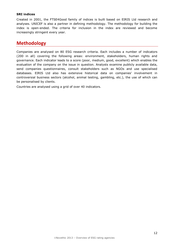#### **SRI indices**

Created in 2001, the FTSE4Good family of indices is built based on EIRIS Ltd research and analyses. UNICEF is also a partner in defining methodology. The methodology for building the index is open-ended. The criteria for inclusion in the index are reviewed and become increasingly stringent every year.

## **Methodology**

Companies are analysed on 80 ESG research criteria. Each includes a number of indicators (200 in all) covering the following areas: environment, stakeholders, human rights and governance. Each indicator leads to a score (poor, medium, good, excellent) which enables the evaluation of the company on the issue in question. Analysts examine publicly available data, send companies questionnaires, consult stakeholders such as NGOs and use specialised databases. EIRIS Ltd also has extensive historical data on companies' involvement in controversial business sectors (alcohol, animal testing, gambling, etc.), the use of which can be personalised by clients.

Countries are analysed using a grid of over 40 indicators.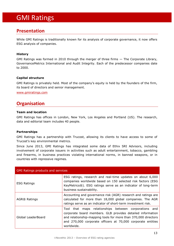# GMI Ratings

## **Presentation**

While GMI Ratings is traditionally known for its analysis of corporate governance, it now offers ESG analysis of companies.

#### **History**

GMI Ratings was formed in 2010 through the merger of three firms — The Corporate Library, GovernanceMetrics International and Audit Integrity. Each of the predecessor companies date to 2000.

#### **Capital structure**

GMI Ratings is privately held. Most of the company's equity is held by the founders of the firm, its board of directors and senior management.

[www.gmiratings.com](http://www.gmiratings.com/)

## **Organisation**

#### **Team and location**

GMI Ratings has offices in London, New York, Los Angeles and Portland (US). The research, data and editorial team includes 40 people.

#### **Partnerships**

GMI Ratings has a partnership with Trucost, allowing its clients to have access to some of Trucost's key environmental metrics.

Since June 2013, GMI Ratings has integrated some data of Ethix SRI Advisors, including involvement of corporate issuers in activities such as adult entertainment, tobacco, gambling and firearms, in business practices violating international norms, in banned weapons, or in countries with repressive regimes.

| <b>GMI Ratings products and services</b> |                                                                                                                                                                                                                                                                       |
|------------------------------------------|-----------------------------------------------------------------------------------------------------------------------------------------------------------------------------------------------------------------------------------------------------------------------|
| <b>ESG Ratings</b>                       | ESG ratings, research and real-time updates on about 6,000<br>companies worldwide based on 150 selected risk factors (ESG<br>KeyMetrics®). ESG ratings serve as an indicator of long-term<br>business sustainability.                                                 |
| AGR® Ratings                             | Accounting and governance risk (AGR) research and ratings are<br>calculated for more than 18,000 global companies. The AGR<br>ratings serve as an indicator of short-term investment risk.                                                                            |
| Global LeaderBoard                       | maps relationships between corporations and<br>Tool that<br>corporate board members. GLB provides detailed information<br>and relationship-mapping tools for more than 370,000 directors<br>and 270,000 corporate officers at 70,000 corporate entities<br>worldwide. |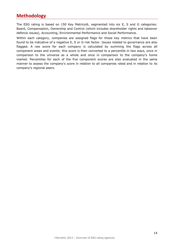## **Methodology**

The ESG rating is based on 150 Key Metrics®, segmented into six E, S and G categories: Board, Compensation, Ownership and Control (which includes shareholder rights and takeover defence issues), Accounting, Environmental Performance and Social Performance.

Within each category, companies are assigned flags for those key metrics that have been found to be indicative of a negative E, S or G risk factor. Issues related to governance are also flagged. A raw score for each company is calculated by summing the flags across all component areas and events; this score is then converted to a percentile in two ways, once in comparison to the universe as a whole and once in comparison to the company's home market. Percentiles for each of the five component scores are also evaluated in the same manner to assess the company's score in relation to all companies rated and in relation to its company's regional peers.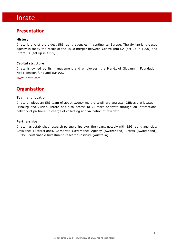#### **Presentation**

#### **History**

Inrate is one of the oldest SRI rating agencies in continental Europe. The Switzerland-based agency is today the result of the 2010 merger between Centre Info SA (set up in 1990) and Inrate SA (set up in 1995).

#### **Capital structure**

Inrate is owned by its management and employees, the Pier-Luigi Giovannini Foundation, NEST pension fund and INFRAS.

[www.inrate.com](http://www.inrate.com/)

## **Organisation**

#### **Team and location**

Inrate employs an SRI team of about twenty multi-disciplinary analysts. Offices are located in Fribourg and Zurich. Inrate has also access to 22 more analysts through an international network of partners, in charge of collecting and validation of raw data.

#### **Partnerships**

Inrate has established research partnerships over the years, notably with ESG rating agencies: Covalence (Switzerland), Corporate Governance Agency (Switzerland), Infras (Switzerland), SIRIS – Sustainable Investment Research Institute (Australia).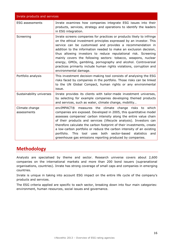| Inrate products and services  |                                                                                                                                                                                                                                                                                                                                                                                                                                                                                                                                                                                       |  |
|-------------------------------|---------------------------------------------------------------------------------------------------------------------------------------------------------------------------------------------------------------------------------------------------------------------------------------------------------------------------------------------------------------------------------------------------------------------------------------------------------------------------------------------------------------------------------------------------------------------------------------|--|
| <b>ESG</b> assessments        | Inrate examines how companies integrate ESG issues into their<br>products, services, strategy and operations to identify the leaders<br>in ESG integration.                                                                                                                                                                                                                                                                                                                                                                                                                           |  |
| Screening                     | Inrate screens companies for practices or products likely to infringe<br>on the ethical investment principles expressed by an investor. This<br>service can be customised and provides a recommendation in<br>addition to the information needed to make an exclusion decision,<br>thus allowing investors to reduce reputational risk. Screening<br>mainly covers the following sectors: tobacco, weapons, nuclear<br>energy, GMOs, gambling, pornography and alcohol. Controversial<br>practices primarily include human rights violations, corruption and<br>environmental damage. |  |
| Portfolio analysis            | This investment decision-making tool consists of analysing the ESG<br>risks faced by companies in the portfolio. Those risks can be linked<br>to the UN Global Compact, human rights or any environmental<br>issue.                                                                                                                                                                                                                                                                                                                                                                   |  |
| Sustainability universes      | Inrate provides its clients with tailor-made investment universes,<br>by selecting for example companies developing themed products<br>and services, such as water, climate change, mobility                                                                                                                                                                                                                                                                                                                                                                                          |  |
| Climate change<br>assessments | envIMPACT® measures the climate change risks to<br>which<br>companies are exposed. Developed in 2005, this quantitative model<br>assesses companies' carbon intensity along the entire value chain<br>of their products and services (lifecycle analysis). Investors can<br>therefore calculate the carbon footprint of their investments, create<br>a low-carbon portfolio or reduce the carbon intensity of an existing<br>sector-based<br>portfolio.<br><b>This</b><br>both<br>statistics<br>tool<br>uses<br>and<br>greenhouse gas emissions reporting produced by companies.      |  |

## **Methodology**

Analysts are specialised by theme and sector. Research universe covers about 2,600 companies on the international markets and more than 200 bond issuers (supranational organisations, countries). Inrate has strong coverage of small caps and companies in emerging countries.

Inrate is unique in taking into account ESG impact on the entire life cycle of the company's products and services.

The ESG criteria applied are specific to each sector, breaking down into four main categories: environment, human resources, social issues and governance.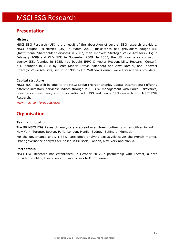# MSCI ESG Research

### **Presentation**

#### **History**

MSCI ESG Research (US) is the result of the absorption of several ESG research providers. MSCI bought RiskMetrics (US) in March 2010. RiskMetrics had previously bought ISS (Institutional Shareholder Services) in 2007, then Innovest Strategic Value Advisors (US) in February 2009 and KLD (US) in November 2009. In 2005, the US governance consulting agency ISS, founded in 1985, had bought IRRC (Investor Responsibility Research Center). KLD, founded in 1988 by Peter Kinder, Steve Lydenberg and Amy Domini, and Innovest Strategic Value Advisors, set up in 1995 by Dr. Matthew Kiernan, were ESG analysis providers.

#### **Capital structure**

MSCI ESG Research belongs to the MSCI Group (Morgan Stanley Capital International) offering different investors' services: indices through MSCI, risk management with Barra RiskMetrics, governance consultancy and proxy voting with ISS and finally ESG research with MSCI ESG Research.

[www.msci.com/products/esg/](http://www.msci.com/products/esg/)

## **Organisation**

#### **Team and location**

The 90 MSCI ESG Research analysts are spread over three continents in ten offices including New York, Toronto, Boston, Paris, London, Manila, Sydney, Beijing or Mumbai.

For the governance entity (ISS), Paris office analysts exclusively cover the French market. Other governance analysts are based in Brussels, London, New York and Manila.

#### **Partnership**

MSCI ESG Research has established, in October 2012, a partnership with Factset, a data provider, enabling their clients to have access to MSCI research.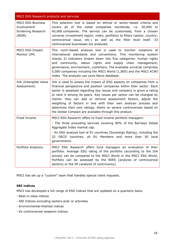#### MSCI ESG Research products and services

| <b>MSCI ESG Business</b><br>Involvement<br>Screening Research<br>(BISR) | This selection tool is based on ethical or sector-based criteria and<br>covers all of the listed companies worldwide, i.e. 30,000 to<br>40,000 companies. The service can be customised, from a chosen<br>universe (investment region, index, portfolio) to filters (sector, country,<br>controversial issue, etc.) as well as the filter level itself. 33<br>controversial businesses are analysed.                                                                                                                                                                  |
|-------------------------------------------------------------------------|-----------------------------------------------------------------------------------------------------------------------------------------------------------------------------------------------------------------------------------------------------------------------------------------------------------------------------------------------------------------------------------------------------------------------------------------------------------------------------------------------------------------------------------------------------------------------|
| <b>MSCI ESG Impact</b><br>Monitor (IM)                                  | This norm-based analysis tool is used to monitor violations of<br>international standards and conventions. This monitoring system<br>checks 31 indicators broken down into five categories: human rights<br>and community, labour rights and supply chain management,<br>governance, environment, customers. The available universe comprises<br>5,000 companies including the MSCI World (1,800) and the MSCI ACWI<br>Index. The analysts use Lexis Nexis database.                                                                                                  |
| IVA (Intangible Value<br>Assessment)                                    | IVA is used to assess the impact of ESG aspects on companies from a<br>financial perspective and position companies within their sector. Each<br>sector is assessed regarding key issues and company is given a rating<br>to rank it among its peers. Key issues per sector can be changed by<br>clients: they can add or remove assessment factors, adjust the<br>weighting of factors in line with their own analysis process and<br>determine their own ratings. Alerts on severe controversies based on<br>the Global Compact are available through this product. |
| Fixed Income                                                            | MSCI ESG Research offers to fixed income portfolio managers:<br>- The three preceding services covering 90% of the Barclays Global<br>Aggregate Index market cap.<br>- An ESG analysis tool of 91 countries (Sovereign Rating), including the<br>32 OECD countries, all EU Members and more than 50 local<br>governments.                                                                                                                                                                                                                                             |
| Portfolio Analytics                                                     | MSCI ESG Research offers fund managers an evaluation of their<br>portfolio. Average ESG rating of the portfolio (according to the IVA<br>scores) can be compared to the MSCI World or the MSCI ESG World.<br>Portfolio can be assessed by the BIRS (analysis of controversial<br>sectors) or the IM (analysis of controversy).                                                                                                                                                                                                                                        |

MSCI has set up a "custom" team that handles special client requests.

#### **SRI indices**

MSCI has developed a full range of ESG indices that are updated on a quarterly basis.

- Best-in-class indices
- SRI Indices excluding sectors and/ or activities
- Environmental-themed indices
- Ex-controversial weapons indices.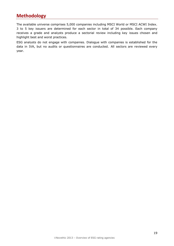## **Methodology**

The available universe comprises 5,000 companies including MSCI World or MSCI ACWI Index. 3 to 5 key issuers are determined for each sector in total of 34 possible. Each company receives a grade and analysts produce a sectorial review including key issues chosen and highlight best and worst practices.

ESG analysts do not engage with companies. Dialogue with companies is established for the data in IVA, but no audits or questionnaires are conducted. All sectors are reviewed every year.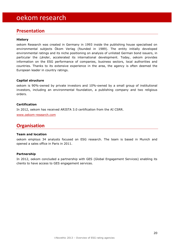# oekom research

## **Presentation**

#### **History**

oekom Research was created in Germany in 1993 inside the publishing house specialised on environmental subjects Ökom Verlag (founded in 1989). The entity initially developed environmental ratings and its niche positioning on analysis of unlisted German bond issuers, in particular the *Länder*, accelerated its international development. Today, oekom provides information on the ESG performance of companies, business sectors, local authorities and countries. Thanks to its extensive experience in the area, the agency is often deemed the European leader in country ratings.

#### **Capital structure**

oekom is 90%-owned by private investors and 10%-owned by a small group of institutional investors, including an environmental foundation, a publishing company and two religious orders.

#### **Certification**

In 2012, oekom has received ARISTA 3.0 certification from the AI CSRR.

[www.oekom-research.com](http://www.oekom-research.com/)

## **Organisation**

#### **Team and location**

oekom employs 34 analysts focused on ESG research. The team is based in Munich and opened a sales office in Paris in 2011.

#### **Partnership**

In 2012, oekom concluded a partnership with GES (Global Engagement Services) enabling its clients to have access to GES engagement services.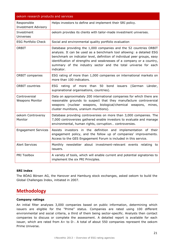| oekom research products and services      |                                                                                                                                                                                                                                                                                                                                                                                 |
|-------------------------------------------|---------------------------------------------------------------------------------------------------------------------------------------------------------------------------------------------------------------------------------------------------------------------------------------------------------------------------------------------------------------------------------|
| Responsible<br><b>Investment Advisory</b> | Helps investors to define and implement their SRI policy.                                                                                                                                                                                                                                                                                                                       |
| Investment<br>Universes                   | oekom provides its clients with tailor-made investment universes.                                                                                                                                                                                                                                                                                                               |
| <b>ESG Portfolio Check</b>                | Social and environmental quality portfolio evaluation                                                                                                                                                                                                                                                                                                                           |
| ORBIT                                     | Database providing the 1,000 companies and the 52 countries ORBIT<br>analysis. It can be used as a benchmark tool allowing: a detailed ESG<br>benchmark on indicator level, definition of individual peer groups, easy<br>identification of strengths and weaknesses of a company or a country,<br>summary of the industry sector and the total universe for each<br>indicator. |
| <b>ORBIT companies</b>                    | ESG rating of more than 1,000 companies on international markets on<br>more than 100 indicators.                                                                                                                                                                                                                                                                                |
| <b>ORBIT countries</b>                    | <b>ESG</b><br>of more than<br>50<br>bond<br>(German<br>Länder,<br>rating<br>issuers<br>supranational organisations, countries).                                                                                                                                                                                                                                                 |
| Controversial<br><b>Weapons Monitor</b>   | Data on approximately 200 international companies for which there are<br>reasonable grounds to suspect that they manufacture controversial<br>weapons (nuclear weapons, biological/chemical weapons, mines,<br>cluster munitions, uranium munitions).                                                                                                                           |
| oekom Controversy<br>Monitor              | Database providing controversies on more than 3,000 companies. The<br>7,000 controversies gathered enable investors to evaluate and manage<br>environmental, human rights, corruption controversies.                                                                                                                                                                            |
| <b>Engagement Services</b>                | Assists investors in the definition and implementation of their<br>engagement policy, and the follow up of companies' improvements.<br>Access to the GES Engagement Forum is included in this service.                                                                                                                                                                          |
| <b>Alert Services</b>                     | Monthly newsletter about investment-relevant events relating to<br>issuers.                                                                                                                                                                                                                                                                                                     |
| PRI Toolbox                               | A variety of tools, which will enable current and potential signatories to<br>implement the six PRI Principles.                                                                                                                                                                                                                                                                 |

#### **SRI index**

The BÖAG Börsen AG, the Hanover and Hamburg stock exchanges, asked oekom to build the Global Challenges Index, initiated in 2007.

## **Methodology**

#### **Company ratings**

An initial filter analyses 3,000 companies based on public information, determining which issuers are eligible for the "Prime" status. Companies are rated using 100 different environmental and social criteria, a third of them being sector-specific. Analysts then contact companies to discuss or complete the assessment. A detailed report is available for each issuer, which are rated from A+ to D-. A total of about 550 companies represent the oekom Prime Universe.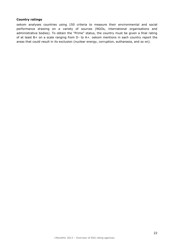#### **Country ratings**

oekom analyses countries using 150 criteria to measure their environmental and social performance drawing on a variety of sources (NGOs, international organisations and administrative bodies). To obtain the "Prime" status, the country must be given a final rating of at least B+ on a scale ranging from D- to A+. oekom mentions in each country report the areas that could result in its exclusion (nuclear energy, corruption, euthanasia, and so on).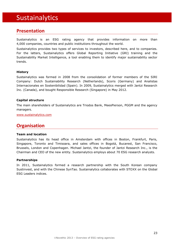# Sustainalytics

## **Presentation**

Sustainalytics is an ESG rating agency that provides information on more than 4,000 companies, countries and public institutions throughout the world.

Sustainalytics provides two types of services to investors, described here, and to companies. For the latters, Sustainalytics offers Global Reporting Initiative (GRI) training and the Sustainability Market Intelligence, a tool enabling them to identify major sustainability sector trends.

#### **History**

Sustainalytics was formed in 2008 from the consolidation of former members of the SIRI Company: Dutch Sustainability Research (Netherlands), Scoris (Germany) and Analistas Internacionales en Sostenibilidad (Spain). In 2009, Sustainalytics merged with Jantzi Research Inc. (Canada), and bought Responsible Research (Singapore) in May 2012.

#### **Capital structure**

The main shareholders of Sustainalytics are Triodos Bank, MeesPierson, PGGM and the agency managers.

[www.sustainalytics.com](http://www.sustainalytics.com/)

## **Organisation**

#### **Team and location**

Sustainalytics has its head office in Amsterdam with offices in Boston, Frankfurt, Paris, Singapore, Toronto and Timisoara, and sales offices in Bogotá, Bucarest, San Francisco, Brussels, London and Copenhagen. Michael Jantzi, the founder of Jantzi Research Inc., is the Chairman and CEO of the new entity. Sustainalytics employs about 70 ESG research analysts.

#### **Partnerships**

In 2011, Sustainalytics formed a research partnership with the South Korean company Sustinvest, and with the Chinese SynTao. Sustainalytics collaborates with STOXX on the Global ESG Leaders indices.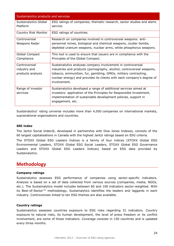| Sustainalytics products and services               |                                                                                                                                                                                                                                                                                                    |  |
|----------------------------------------------------|----------------------------------------------------------------------------------------------------------------------------------------------------------------------------------------------------------------------------------------------------------------------------------------------------|--|
| Sustainalytics Global<br>Platform                  | ESG ratings of companies, thematic research, sector studies and alerts<br>service.                                                                                                                                                                                                                 |  |
| Country Risk Monitor                               | ESG ratings of countries.                                                                                                                                                                                                                                                                          |  |
| Controversial<br>Weapons Radar                     | Research on companies involved in controversial weapons: anti-<br>personnel mines, biological and chemical weapons, cluster bombs,<br>depleted uranium weapons, nuclear arms, white phosphorus weapons.                                                                                            |  |
| Global Compact<br>Compliance                       | This tool is used to ensure that issuers are in compliance with the<br>Principles of the Global Compact.                                                                                                                                                                                           |  |
| Controversial<br>industry and<br>products analysis | Sustainalytics analyses company involvement in controversial<br>industries and products (pornography, alcohol, controversial weapons,<br>tobacco, ammunition, fur, gambling, GMOs, military contracting,<br>nuclear energy) and provides its clients with each company's degree of<br>involvement. |  |
| Range of investor<br>services                      | Sustainalytics developed a range of additional services aimed at<br>investors: application of the Principles for Responsible Investment,<br>implementation of sustainable development policies, support in<br>engagement, etc.                                                                     |  |

Sustainalytics' rating universe includes more than 4,000 companies on international markets, supranational organisations and countries.

#### **SRI index**

The Jantzi Social Index®, developed in partnership with Dow Jones Indexes, consists of the 60 largest capitalisations in Canada with the highest Jantzi ratings based on ESG criteria.

The STOXX Global ESG Leaders Indices is a family of four indices (STOXX Global ESG Environmental Leaders, STOXX Global ESG Social Leaders, STOXX Global ESG Governance Leaders and STOXX Global ESG Leaders Indices) based on ESG data provided by Sustainalytics.

## **Methodology**

#### **Company ratings**

Sustainalytics assesses ESG performance of companies using sector-specific indicators. Analysis is based on a set of data collected from various sources (companies, media, NGOs, etc.). The Sustainalytics model includes between 60 and 100 indicators sector-weighted. With its Best-of-Sector*™* methodology, Sustainalytics identifies the leaders and laggards in each industry. Controversies linked to ten ESG themes are also available.

#### **Country ratings**

Sustainalytics assesses countries exposure to ESG risks regarding 31 indicators. Country exposure to natural risks, its human development, the level of press freedom or its conflict involvement, are some of those indicators. Coverage consists in 150 countries and is updated every three months.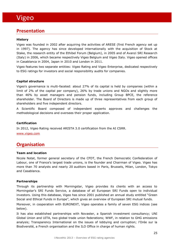## **Presentation**

#### **History**

Vigeo was founded in 2002 after acquiring the activities of ARESE (first French agency set up in 1997). The agency has since developed internationally with the acquisition of Stock at Stake, the research entity of the Ethibel Forum (Belgium), in 2005 and of Avanzi SRI Research (Italy) in 2006, which became respectively Vigeo Belgium and Vigeo Italy. Vigeo opened offices in Casablanca in 2004, Japan in 2010 and London in 2011.

Vigeo features two separate entities: Vigeo Rating and Vigeo Enterprise, dedicated respectively to ESG ratings for investors and social responsibility audits for companies.

#### **Capital structure**

Vigeo's governance is multi-faceted: about 27% of its capital is held by companies (within a limit of 2% of the capital per company), 26% by trade unions and NGOs and slightly more than 46% by asset managers and pension funds, including Group BPCE, the reference shareholder. The Board of Directors is made up of three representatives from each group of shareholders and five independent directors.

A Scientific Board composed of independent experts approves and challenges the methodological decisions and oversees their proper application.

#### **Certification**

In 2012, Vigeo Rating received ARISTA 3.0 certification from the AI CSRR.

[www.vigeo.com](http://www.vigeo.com/csr-rating-agency/fr)

## **Organisation**

#### **Team and location**

Nicole Notat, former general secretary of the CFDT, the French Democratic Confederation of Labour, one of France's largest trade unions, is the founder and Chairman of Vigeo. Vigeo has more than 70 analysts and nearly 20 auditors based in Paris, Brussels, Milan, London, Tokyo and Casablanca.

#### **Partnerships**

Through its partnership with Morningstar, Vigeo provides its clients with an access to Morningstar's SRI Funds Service, a database of all European SRI Funds open to individual investors. Using this database, Vigeo has since 2001 published an annual study entitled "Green Social and Ethical Funds in Europe", which gives an overview of European SRI mutual funds.

Moreover, in cooperation with EURONEXT, Vigeo operates a family of seven ESG indices (see below).

It has also established partnerships with Novaster, a Spanish investment consultancy; UNI Global Union and UITA, two global trade union federations; WWF, in relation to GHG emissions analysis; Transparency International on the issues of lobbying and corruption; l'Orée sur la Biodiversité, a French organisation and the ILO Office in charge of human rights.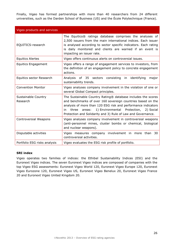Finally, Vigeo has formed partnerships with more than 40 researchers from 24 different universities, such as the Darden School of Business (US) and the École Polytechnique (France).

| Vigeo products and services     |                                                                                                                                                                                                                                                                                                                                    |
|---------------------------------|------------------------------------------------------------------------------------------------------------------------------------------------------------------------------------------------------------------------------------------------------------------------------------------------------------------------------------|
| EQUITICS-research               | The Equitics® ratings database comprises the analyses of<br>2,500 issuers from the main international indices. Each issuer<br>is analysed according to sector specific indicators. Each rating<br>is daily monitored and clients are warned if an event is<br>impacting an issuer rate.                                            |
| <b>Equitics Alertes</b>         | Vigeo offers continuous alerts on controversial issues.                                                                                                                                                                                                                                                                            |
| <b>Equitics Engagement</b>      | Vigeo offers a range of engagement services to investors, from<br>the definition of an engagement policy to concrete engagement<br>actions.                                                                                                                                                                                        |
| Equitics sector Research        | identifying<br>Analysis of 35 sectors consisting<br>in<br>major<br>sustainability trends.                                                                                                                                                                                                                                          |
| <b>Convention Monitor</b>       | Vigeo analyses company involvement in the violation of one or<br>several Global Compact principles.                                                                                                                                                                                                                                |
| Sustainable Country<br>Research | The Sustainable Country Rating® database includes the scores<br>and benchmarks of over 160 sovereign countries based on the<br>analysis of more than 120 ESG risk and performance indicators<br>1) Environmental Protection,<br>three<br>2) Social<br>in<br>areas:<br>Protection and Solidarity and 3) Rule of Law and Governance. |
| Controversial Weapons           | Vigeo analyses company involvement in controversial weapons<br>(anti-personnel mines, cluster bombs or chemical, biological<br>and nuclear weapons).                                                                                                                                                                               |
| Disputable activities           | Vigeo measures company involvement in<br>more than<br>30<br>controversial activities.                                                                                                                                                                                                                                              |
| Portfolio ESG risks analysis    | Vigeo evaluates the ESG risk profile of portfolio.                                                                                                                                                                                                                                                                                 |

#### **SRI index**

Vigeo operates two families of indices: the Ethibel Sustainability Indices (ESI) and the Euronext Vigeo indices. The seven Euronext Vigeo indices are composed of companies with the top Vigeo ESG assessments: Euronext Vigeo World 120, Euronext Vigeo Europe 120, Euronext Vigeo Eurozone 120, Euronext Vigeo US, Euronext Vigeo Benelux 20, Euronext Vigeo France 20 and Euronext Vigeo United Kingdom 20.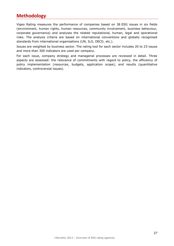## **Methodology**

Vigeo Rating measures the performance of companies based on 38 ESG issues in six fields (environment, human rights, human resources, community involvement, business behaviour, corporate governance) and analyses the related reputational, human, legal and operational risks. The analysis criteria are based on international conventions and globally recognised standards from international organisations (UN, ILO, OECD, etc.).

Issues are weighted by business sector. The rating tool for each sector includes 20 to 25 issues and more than 300 indicators are used per company.

For each issue, company strategy and managerial processes are reviewed in detail. Three aspects are assessed: the relevance of commitments with regard to policy, the efficiency of policy implementation (resources, budgets, application scope), and results (quantitative indicators, controversial issues).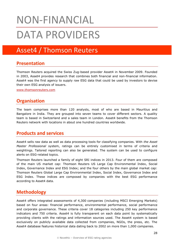# NON-FINANCIAL DATA PROVIDERS

# Asset4 / Thomson Reuters

## **Presentation**

Thomson Reuters acquired the Swiss Zug-based provider Asset4 in November 2009. Founded in 2003, Asset4 provides research that combines both financial and non-financial information. Asset4 was the first agency to supply raw ESG data that could be used by investors to devise their own ESG analysis of issuers.

[www.thomsonreuters.com](http://thomsonreuters.com/products_services/financial/content_update/content_overview/content_esg/)

## **Organisation**

The team comprises more than 120 analysts, most of who are based in Mauritius and Bangalore in India. They are grouped into seven teams to cover different sectors. A quality team is based in Switzerland and a sales team in London. Asset4 benefits from the Thomson Reuters network with locations in about one hundred countries worldwide.

## **Products and services**

Asset4 sells raw data as well as data processing tools for classifying companies. With *the Asset Master Professional* system, ratings can be entirely customised in terms of criteria and weightings. Tailored reporting can also be generated. The system can be used to configure alerts on ESG-related topics.

Thomson Reuters launched a family of eight SRI indices in 2013. Four of them are composed of the main US market cap: Thomson Reuters US Large Cap Environmental Index, Social Index, Governance Index and ESG Index; and the four others by the main global market cap: Thomson Reuters Global Large Cap Environmental Index, Social Index, Governance Index and ESG Index. These indices are composed by companies with the best ESG performance according to Asset4 data.

## **Methodology**

Asset4 offers integrated assessments of 4,300 companies (including MSCI Emerging Markets) based on four areas: financial performance, environmental performance, social performance and corporate governance. These criteria cover 18 categories including 250 key performance indicators and 750 criteria. Asset4 is fully transparent on each data point by systematically providing clients with the ratings and information sources used. The Asset4 system is based exclusively on publicly available data collected from companies, NGOs, the press, etc. The Asset4 database features historical data dating back to 2002 on more than 1,000 companies.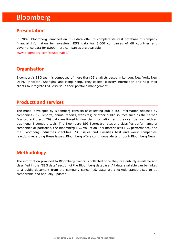# Bloomberg

## **Presentation**

In 2009, Bloomberg launched an ESG data offer to complete its vast database of company financial information for investors. ESG data for 5,000 companies of 68 countries and governance data for 5,000 more companies are available.

[www.bloomberg.com/bsustainable/](http://www.bloomberg.com/bsustainable/)

## **Organisation**

Bloomberg's ESG team is composed of more than 35 analysts based in London, New York, New Delhi, Princeton, Shanghai and Hong Kong. They collect, classify information and help their clients to integrate ESG criteria in their portfolio management.

## **Products and services**

The model developed by Bloomberg consists of collecting public ESG information released by companies (CSR reports, annual reports, websites) or other public sources such as the Carbon Disclosure Project. ESG data are linked to financial information, and they can be used with all traditional Bloomberg tools. The Bloomberg ESG Scorecard rates and classifies performance of companies or portfolios, the Bloomberg ESG Valuation Tool materializes ESG performance, and the Bloomberg Industries identifies ESG issues and classifies best and worst companies' reactions regarding these issues. Bloomberg offers continuous alerts through Bloomberg News.

## **Methodology**

The information provided to Bloomberg clients is collected once they are publicly-available and classified in the "ESG data" section of the Bloomberg database. All data available can be linked to a public document from the company concerned. Data are checked, standardised to be comparable and annually updated.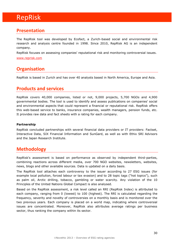# RepRisk

## **Presentation**

The RepRisk tool was developed by Ecofact, a Zurich-based social and environmental risk research and analysis centre founded in 1998. Since 2010, RepRisk AG is an independent company.

RepRisk focuses on assessing companies' reputational risk and monitoring controversial issues.

#### [www.reprisk.com](http://www.reprisk.com/)

## **Organisation**

RepRisk is based in Zurich and has over 40 analysts based in North America, Europe and Asia.

## **Products and services**

RepRisk covers 40,000 companies, listed or not, 9,000 projects, 5,700 NGOs and 4,900 governmental bodies. The tool is used to identify and assess publications on companies' social and environmental aspects that could represent a financial or reputational risk. RepRisk offers this web-based service to banks, insurance companies, wealth managers, pension funds, etc. It provides raw data and fact sheets with a rating for each company.

#### **Partnership**

RepRisk concluded partnerships with several financial data providers or IT providers: Factset, Interactive Data, SIX Financial Information and SunGard, as well as with Ethix SRI Advisors and the Japan Research Institute.

## **Methodology**

RepRisk's assessment is based on performance as observed by independent third-parties, combining reactions across different media, over 700 NGO websites, newsletters, websites, news, blogs and other available sources. Data is updated on a daily basis.

The RepRisk tool attaches each controversy to the issuer according to 27 ESG issues (for example local pollution, forced labour or tax evasion) and to 28 topic tags ("hot topics"), such as palm oil, Arctic drilling, tobacco, gambling or water scarcity. Any violation of the 10 Principles of the United Nations Global Compact is also analysed.

Based on the RepRisk assessment, a risk level called an RRI (RepRisk Index) is attributed to each company, ranging from 0 (lowest) to 100 (highest). The RRI is calculated regarding the frequency, severity and novelty of controversies on a monthly basis and is monitored over the two previous years. Each company is placed on a world map, indicating where controversial issues are concentrated. Moreover, RepRisk also attributes average ratings per business sector, thus ranking the company within its sector.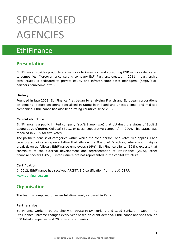# SPECIALISED **AGENCIES**

# **EthiFinance**

## **Presentation**

EthiFinance provides products and services to investors, and consulting CSR services dedicated to companies. Moreover, a consulting company ExFi Partners, created in 2011 in partnership with INDEFI is dedicated to private equity and infrastructure asset managers. (http://exfipartners.com/home.html)

#### **History**

Founded in late 2003, EthiFinance first began by analysing French and European corporations on demand, before becoming specialised in rating both listed and unlisted small and mid-cap companies. EthiFinance has also been rating countries since 2007.

#### **Capital structure**

EthiFinance is a public limited company (*société anonyme*) that obtained the status of Société Coopérative d'Intérêt Collectif (SCIC, or social cooperative company) in 2004. This status was renewed in 2009 for five years.

The partners consist of categories within which the "one person, one vote" rule applies. Each category appoints a representative that sits on the Board of Directors, where voting rights break down as follows: EthiFinance employees (14%), EthiFinance clients (32%), experts that contribute to the external development and representation of EthiFinance (26%), other financial backers (28%). Listed issuers are not represented in the capital structure.

#### **Certification**

In 2012, EthiFinance has received ARISTA 3.0 certification from the AI CSRR. [www.ethifinance.com](http://www.ethifinance.com/)

## **Organisation**

The team is composed of seven full-time analysts based in Paris.

#### **Partnerships**

EthiFinance works in partnership with Inrate in Switzerland and Good Bankers in Japan. The EthiFinance universe changes every year based on client demand. EthiFinance analyses around 350 listed companies and 20 unlisted companies.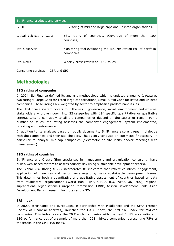| EthiFinance products and services   |                                                                               |  |
|-------------------------------------|-------------------------------------------------------------------------------|--|
| <b>GEOL</b>                         | ESG rating of mid and large caps and unlisted organisations.                  |  |
| Global Risk Rating (G2R)            | ESG rating of countries. (Coverage of more than 100<br>countries)             |  |
| Ethi Observer                       | Monitoring tool evaluating the ESG reputation risk of portfolio<br>companies. |  |
| Ethi News                           | Weekly press review on ESG issues.                                            |  |
| Consulting services in CSR and SRI. |                                                                               |  |

## **Methodologies**

#### **ESG rating of companies**

In 2004, EthiFinance defined its analysis methodology which is updated annually. It features two ratings: Large Caps for listed large capitalisations, Small & Mid Caps for listed and unlisted companies. These ratings are weighted by sector to emphasise predominant issues.

The EthiFinance system covers four themes – governance, social, environment and external stakeholders – broken down into 22 categories with 194 specific quantitative or qualitative criteria. Criteria can apply to all the companies or depend on the sector or region. For a number of issues, the rating assesses the company's engagement, system implemented, reporting and performance.

In addition to its analyses based on public documents, EthiFinance also engages in dialogue with the companies and their stakeholders. The agency conducts on-site visits if necessary, in particular to analyse mid-cap companies (systematic on-site visits and/or meetings with management).

#### **ESG rating of countries**

EthiFinance and Oresys (firm specialised in management and organisation consulting) have built a web-based system to assess country risk using sustainable development criteria.

The Global Risk Rating (G2R) incorporates 81 indicators that reflect countries' engagement, application of measures and performance regarding major sustainable development issues. This determines both a quantitative and qualitative assessment of countries based on data from multilateral organisations (World Bank, IMF, OECD, ILO, WHO, UN, etc.), regional supranational organisations (European Commission, EBRD, African Development Bank, Asian Development Bank), research institutes and NGOs.

#### **SRI index**

In 2009, EthiFinance and IDMidCaps, in partnership with Middlenext and the SFAF (French Society of Financial Analysts), launched the GAIA Index, the first SRI index for mid-cap companies. This index covers the 70 French companies with the best EthiFinance ratings in ESG performance out of a sample of more than 223 mid-cap companies representing 75% of the stocks in the CMS 190 index.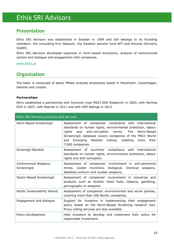# Ethix SRI Advisors

## **Presentation**

Ethix SRI Advisors was established in Sweden in 1999 and still belongs to its founding members: the consulting firm Wassum, the Swedish pension fund AP7 and Amundi (formerly SGAM).

Ethix SRI Advisors developed expertise in norm-based exclusions, analysis of controversial sectors and dialogue and engagement with companies.

[www.ethix.se](http://www.ethix.se/)

## **Organisation**

The team is composed of about fifteen analysts employees based in Stockholm, Copenhagen, Helsinki and London.

#### **Partnerships**

Ethix established a partnership with Innovest (now MSCI ESG Research) in 2003, with Hermes EOS in 2007, with Reprisk in 2011 and with GMI Ratings in 2013.

| Ethix SRI Advisors products and services |                                                                                                                                                                                                                                                                                                                                   |  |
|------------------------------------------|-----------------------------------------------------------------------------------------------------------------------------------------------------------------------------------------------------------------------------------------------------------------------------------------------------------------------------------|--|
| Norm-Based Screening©                    | Assessment of companies' compliance with international<br>standards on human rights, environmental protection, labour<br>anti-corruption norms.<br>The<br>rights<br>and<br>Norm-Based<br>Screening© database covers companies of the MSCI World<br>and Emerging<br>Markets indices, totalling<br>than<br>more<br>7,000 companies. |  |
| Sovereign Bonds©                         | Assessment of countries' compliance with international<br>standards on human rights, environmental protection, labour<br>rights and anti-corruption.                                                                                                                                                                              |  |
| Controversial Weapons<br>Screening©      | Assessment of companies' involvement in anti-personnel<br>mines, cluster munitions, biological, chemical weapons,<br>depleted uranium and nuclear weapons.                                                                                                                                                                        |  |
| Sector-Based Screening©                  | Assessment of companies' involvement in industries and<br>products such as alcohol, fossil fuels, tobacco, gambling,<br>pornography or weapons.                                                                                                                                                                                   |  |
| Nordic Sustainability Stars©             | Assessment of companies' environmental and social policies,<br>covering more than 260 Nordic companies.                                                                                                                                                                                                                           |  |
| Engagement and dialogue                  | Support for investors in implementing their engagement<br>policy based on the Norm-Based Screening research tool.<br>Proxy voting services are also available.                                                                                                                                                                    |  |
| Policy Development                       | Help investors to develop and implement their policy for<br>responsible investment.                                                                                                                                                                                                                                               |  |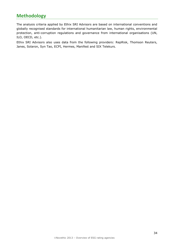## **Methodology**

The analysis criteria applied by Ethix SRI Advisors are based on international conventions and globally recognised standards for international humanitarian law, human rights, environmental protection, anti-corruption regulations and governance from international organisations (UN, ILO, OECD, etc.).

Ethix SRI Advisors also uses data from the following providers: RepRisk, Thomson Reuters, Janes, Solaron, Syn Tao, ECPI, Hermes, Manifest and SIX Telekurs.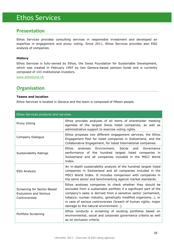# Ethos Services

## **Presentation**

Ethos Services provides consulting services in responsible investment and developed an expertise in engagement and proxy voting. Since 2011, Ethos Services provides also ESG analysis of companies.

#### **History**

Ethos Services is fully-owned by Ethos, the Swiss Foundation for Sustainable Development, which was created in February 1997 by two Geneva-based pension funds and is currently composed of 143 institutional investors.

[www.ethosfund.ch](http://www.ethosfund.ch/)

## **Organisation**

#### **Teams and location**

Ethos Services is located in Geneva and the team is composed of fifteen people.

| Ethos Services products and services                                         |                                                                                                                                                                                                                                                                                                                                                                             |
|------------------------------------------------------------------------------|-----------------------------------------------------------------------------------------------------------------------------------------------------------------------------------------------------------------------------------------------------------------------------------------------------------------------------------------------------------------------------|
| Proxy Voting                                                                 | Ethos provides analyses of all items of shareholder meeting<br>agendas of the largest Swiss listed companies, as well as<br>administrative support to exercise voting rights.                                                                                                                                                                                               |
| Company Dialogue                                                             | Ethos proposes two different engagement services, the Ethos<br>Engagement Pool for listed companies in Switzerland, and the<br>Collaborative Engagement, for listed International companies.                                                                                                                                                                                |
| <b>Sustainability Ratings</b>                                                | analyses Environment, Social<br>Ethos<br>and<br>Governance<br>performance of the hundred largest listed companies in<br>Switzerland and all companies included in the MSCI World<br>Index.                                                                                                                                                                                  |
| <b>ESG Analysis</b>                                                          | An in-depth sustainability analysis of the hundred largest listed<br>companies in Switzerland and all companies included in the<br>MSCI World Index. It includes comparison with companies in<br>the same sector and benchmarking against market standards.                                                                                                                 |
| Screening for Sector-Based<br><b>Exclusions and Serious</b><br>Controversies | Ethos analyses companies to check whether they should be<br>excluded from a sustainable portfolio if a significant part of the<br>company's sales is derived from a sensitive sector (armament,<br>tobacco, nuclear industry, genetically modified organisms), or<br>in case of serious controversies (breach of human rights, major<br>damage to the natural environment). |
| Portfolio Screening                                                          | Ethos conducts a screening of existing portfolios based on<br>environmental, social and corporate governance criteria as well<br>as on exclusion criteria.                                                                                                                                                                                                                  |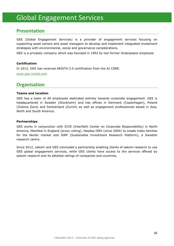# Global Engagement Services

## **Presentation**

GES (Global Engagement Services) is a provider of engagement services focusing on supporting asset owners and asset managers to develop and implement integrated investment strategies with environmental, social and governance considerations.

GES is a privately company which was founded in 1992 by two former Greenpeace employee.

#### **Certification**

In 2012, GES has received ARISTA 3.0 certification from the AI CSRR. [www.ges-invest.com](http://www.ges-invest.com/)

## **Organisation**

#### **Teams and location**

GES has a team of 40 employees dedicated entirely towards corporate engagement. GES is headquartered in Sweden (Stockholm) and has offices in Denmark (Copenhagen), Poland (Zielona Gora) and Switzerland (Zurich) as well as engagement professionals based in Asia, North and South America.

#### **Partnerships**

GES works in conjunction with ICCR (Interfaith Center on Corporate Responsibility) in North America, Manifest in England (proxy voting), Nasdaq OMX (since 2004) to create index families for the Nordic market and SIRP (Sustainable Investment Research Platform), a Swedish research centre.

Since 2012, oekom and GES concluded a partnership enabling clients of oekom research to use GES global engagement services, while GES clients have access to the services offered by oekom research and its detailed ratings of companies and countries.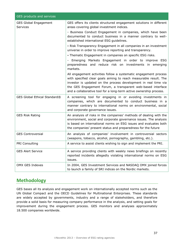| GES products and services                       |                                                                                                                                                                                                                                                                                                                                                                                                                                                                                                                                                                                                                                                                                                                                                                                                                                                                                                                                                                            |
|-------------------------------------------------|----------------------------------------------------------------------------------------------------------------------------------------------------------------------------------------------------------------------------------------------------------------------------------------------------------------------------------------------------------------------------------------------------------------------------------------------------------------------------------------------------------------------------------------------------------------------------------------------------------------------------------------------------------------------------------------------------------------------------------------------------------------------------------------------------------------------------------------------------------------------------------------------------------------------------------------------------------------------------|
| <b>GES Global Engagement</b><br><b>Services</b> | GES offers its clients structured engagement solutions in different<br>areas covering global investment indices.<br>- Business Conduct Engagement in companies, which have been<br>documented to conduct business in a manner contrary to well-<br>established international ESG guidelines.<br>- Risk Transparency Engagement in all companies in an investment<br>universe in order to improve reporting and transparency.<br>- Thematic Engagement in companies on specific ESG risks.<br>- Emerging Markets Engagement in order to improve ESG<br>preparedness and reduce risk on investments in emerging<br>markets.<br>All engagement activities follow a systematic engagement process<br>with specified clear goals aiming to reach measurable result. The<br>investor is updated on the process development in real time via<br>the GES Engagement Forum, a transparent web-based interface<br>and a collaborative tool for a long-term active ownership process. |
| GES Global Ethical Standard®                    | A screening tool for engaging in or avoiding investments in<br>companies, which are documented to conduct business in a<br>manner contrary to international norms on environmental, social<br>and corporate governance issues.                                                                                                                                                                                                                                                                                                                                                                                                                                                                                                                                                                                                                                                                                                                                             |
| <b>GES Risk Rating</b>                          | An analysis of risks in the companies' methods of dealing with the<br>environment, social and corporate governance issues. The analysis<br>is based on international norms on ESG issues and evaluates both<br>the companies' present status and preparedness for the future                                                                                                                                                                                                                                                                                                                                                                                                                                                                                                                                                                                                                                                                                               |
| <b>GES Controversial</b>                        | An analysis of companies' involvement in controversial sectors<br>(weapons, tobacco, alcohol, pornography, gambling, etc.).                                                                                                                                                                                                                                                                                                                                                                                                                                                                                                                                                                                                                                                                                                                                                                                                                                                |
| PRI Consulting                                  | A service to assist clients wishing to sign and implement the PRI.                                                                                                                                                                                                                                                                                                                                                                                                                                                                                                                                                                                                                                                                                                                                                                                                                                                                                                         |
| <b>GES Alert Service</b>                        | A service providing clients with weekly news briefings on recently<br>reported incidents allegedly violating international norms on ESG<br>issues.                                                                                                                                                                                                                                                                                                                                                                                                                                                                                                                                                                                                                                                                                                                                                                                                                         |
| OMX GES Indexes                                 | In 2004, GES Investment Services and NASDAQ OMX joined forces<br>to launch a family of SRI indices on the Nordic markets.                                                                                                                                                                                                                                                                                                                                                                                                                                                                                                                                                                                                                                                                                                                                                                                                                                                  |

## **Methodology**

GES bases all its analysis and engagement work on internationally accepted norms such as the UN Global Compact and the OECD Guidelines for Multinational Enterprises. These standards are widely accepted by governments, industry and a range of stakeholders, and therefore provide a solid basis for measuring company performance in the analysis, and setting goals for improvement during the engagement process. GES monitors and analyses approximately 18.500 companies worldwide.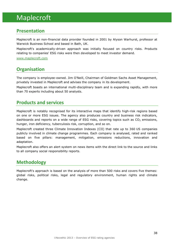# Maplecroft

## **Presentation**

Maplecroft is an non-financial data provider founded in 2001 by Alyson Warhurst, professor at Warwick Business School and based in Bath, UK.

Maplecroft's academically-driven approach was initially focused on country risks. Products relating to companies' ESG risks were then developed to meet investor demand.

[www.maplecroft.com](http://www.maplecroft.com/)

## **Organisation**

The company is employee-owned. Jim O'Neill, Chairman of Goldman Sachs Asset Management, privately invested in Maplecroft and advises the company in its development.

Maplecroft boasts an international multi-disciplinary team and is expanding rapidly, with more than 70 experts including about 50 analysts.

## **Products and services**

Maplecroft is notably recognised for its interactive maps that identify high-risk regions based on one or more ESG issues. The agency also produces country and business risk indicators, dashboards and reports on a wide range of ESG risks, covering topics such as  $CO<sub>2</sub>$  emissions, hunger, iron deficiency, tuberculosis risk, corruption, and so on.

Maplecroft created three Climate Innovation Indexes (CII) that rate up to 360 US companies publicly involved in climate change programmes. Each company is analysed, rated and ranked based on five pillars: management, mitigation, emissions reductions, innovation and adaptation.

Maplecroft also offers an alert system on news items with the direct link to the source and links to all company social responsibility reports.

## **Methodology**

Maplecroft's approach is based on the analysis of more than 500 risks and covers five themes: global risks, political risks, legal and regulatory environment, human rights and climate change.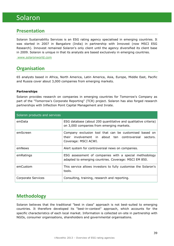# Solaron

## **Presentation**

Solaron Sustainability Services is an ESG rating agency specialised in emerging countries. It was started in 2007 in Bangalore (India) in partnership with Innovest (now MSCI ESG Research). Innovest remained Solaron's only client until the agency diversified its client base in 2009. Solaron is unique in that its analysts are based exclusively in emerging countries.

[www.solaronworld.com](http://www.solaronworld.com/)

## **Organisation**

65 analysts based in Africa, North America, Latin America, Asia, Europe, Middle East, Pacific and Russia cover about 3,000 companies from emerging markets.

#### **Partnerships**

Solaron provides research on companies in emerging countries for Tomorrow's Company as part of the "Tomorrow's Corporate Reporting" (TCR) project. Solaron has also forged research partnerships with Inflection Point Capital Management and Inrate.

| Solaron products and services |                                                                                                                                         |
|-------------------------------|-----------------------------------------------------------------------------------------------------------------------------------------|
| emData                        | ESG database (about 200 quantitative and qualitative criteria)<br>on 3,000 companies from emerging markets.                             |
| emScreen                      | Company exclusion tool that can be customised based on<br>their involvement in about ten controversial sectors.<br>Coverage: MSCI ACWI. |
| emNews                        | Alert system for controversial news on companies.                                                                                       |
| emRatings                     | ESG assessment of companies with a special methodology<br>adapted to emerging countries. Coverage: MSCI EM 850.                         |
| emCustom                      | This service allows investors to fully customise the Solaron's<br>tools.                                                                |
| Corporate Services            | Consulting, training, research and reporting.                                                                                           |

## **Methodology**

Solaron believes that the traditional "best in class" approach is not best-suited to emerging countries. It therefore developed its "best-in-context" approach, which accounts for the specific characteristics of each local market. Information is collected on-site in partnership with NGOs, consumer organisations, shareholders and governmental organisations.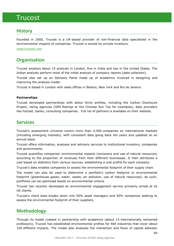## Trucost

## **History**

Founded in 2000, Trucost is a UK-based provider of non-financial data specialised in the environmental impacts of companies. Trucost is owned by private investors.

[www.trucost.com](http://www.trucost.com/)

## **Organisation**

Trucost employs about 15 analysts in London, five in India and two in the United States. The Indian analysts perform most of the initial analysis of company reports (data collection).

Trucost also set up an Advisory Panel made up of academics involved in designing and improving the analysis model.

Trucost is based in London with sales offices in Boston, New York and Rio de Janeiro.

#### **Partnerships**

Trucost developed partnerships with about thirty entities, including the Carbon Disclosure Project, rating agencies (GMI Ratings or the Chinese Syn Tao for examples), data providers like Factset, banks, consulting companies… Full list of partners is available on their website.

### **Services**

Trucost's assessment universe covers more than 4,500 companies on international markets (including emerging markets), with consistent data going back ten years and updated on an annual basis.

Trucost offers information, analyses and advisory services to institutional investors, companies and governments.

Trucost quantifies companies' environmental impacts (emissions and use of natural resources) according to the proportion of revenues from their different businesses. It then attributes a cost based on statistics from various sources, establishing a cost profile for each company.

Trucost's data enables companies to assess the environmental footprint of their supply chain.

The model can also be used to determine a portfolio's carbon footprint or environmental footprint (greenhouse gases, water, waste, air pollution, use of natural resources). As such, portfolios can be optimised based on environmental criteria.

Trucost has recently developed an environmental engagement service primarily aimed at its UK clients.

Trucost's client base breaks down into 50% asset managers and 50% companies seeking to assess the environmental footprint of their suppliers.

## **Methodology**

Through its model created in partnership with academics (about 15 internationally renowned professors), Trucost has established environmental profiles for 464 industries that cover about 100 different impacts. The model also analyses the interaction and flows of capital between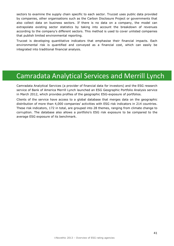sectors to examine the supply chain specific to each sector. Trucost uses public data provided by companies, other organisations such as the Carbon Disclosure Project or governments that also collect data on business sectors. If there is no data on a company, the model can extrapolate existing sector statistics by taking into account the breakdown of revenues according to the company's different sectors. This method is used to cover unlisted companies that publish limited environmental reporting.

Trucost is developing quantitative indicators that emphasise their financial impacts. Each environmental risk is quantified and conveyed as a financial cost, which can easily be integrated into traditional financial analysis.

# Camradata Analytical Services and Merrill Lynch

Camradata Analytical Services (a provider of financial data for investors) and the ESG research service of Bank of America Merrill Lynch launched an ESG Geographic Portfolio Analysis service in March 2012, which provides profiles of the geographic ESG-exposure of portfolios.

Clients of the service have access to a global database that merges data on the geographic distribution of more than 4,000 companies' activities with ESG risk indicators in 214 countries. These risk indicators, 172 in total, are grouped into 28 themes, ranging from climate change to corruption. The database also allows a portfolio's ESG risk exposure to be compared to the average ESG exposure of its benchmark.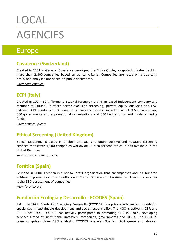# LOCAL **AGENCIES**

# Europe

## **Covalence (Switzerland)**

Created in 2001 in Geneva, Covalence developed the EthicalQuote, a reputation index tracking more than 2,800 companies based on ethical criteria. Companies are rated on a quarterly basis, and analyses are based on public documents.

*[www.covalence.ch](http://www.covalence.ch/)*

## **ECPI (Italy)**

Created in 1997, ECPI (formerly Ecapital Partners) is a Milan-based independent company and member of Eurosif. It offers sector exclusion screening, private equity analyses and ESG indices. ECPI conducts ESG research on various players, including about 3,600 companies, 300 governments and supranational organisations and 350 hedge funds and funds of hedge funds.

*[www.ecpigroup.com](http://www.ecpigroup.com/)*

## **Ethical Screening (United Kingdom)**

Ethical Screening is based in Cheltenham, UK, and offers positive and negative screening services that cover 1,000 companies worldwide. It also screens ethical funds available in the United Kingdom.

*[www.ethicalscreening.co.uk](http://www.ethicalscreening.co.uk/)*

## **Forética (Spain)**

Founded in 2000, Forética is a not-for-profit organisation that encompasses about a hundred entities. It promotes corporate ethics and CSR in Spain and Latin America. Among its services is the ESG assessment of companies.

*[www.foretica.org](http://www.foretica.org/)*

## **Fundación Ecología y Desarrollo - ECODES (Spain)**

Set up in 1992, Fundación Ecología y Desarrollo (ECODES) is a private independent foundation specialised in sustainable development and social responsibility. The NGO is active in CSR and SRI. Since 1999, ECODES has actively participated in promoting CSR in Spain, developing services aimed at institutional investors, companies, governments and NGOs. The ECODES team comprises three ESG analysts. ECODES analyses Spanish, Portuguese and Mexican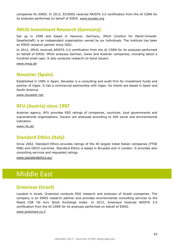companies for EIRIS. In 2012, ECODES received ARISTA 3.0 certification from the AI CSRR for its analyses performed on behalf of EIRIS. *[www.ecodes.org](http://www.ecodes.org/)*

## **IMUG Investment Research (Germany)**

Set up in 1999 and based in Hanover, Germany, IMUG (Institut für Markt-Umwelt-Gesellschaft) is an independent organisation owned by six individuals. The institute has been an EIRIS research partner since 2001.

In 2012, IMUG received ARISTA 3.0 certification from the AI CSRR for its analyses performed on behalf of EIRIS. IMUG analyses German, Swiss and Austrian companies, including about a hundred small caps. It also conducts research on bond issuers.

*[www.imug.de](http://www.imug.de/)*

## **Novaster (Spain)**

Established in 1985 in Spain, Novaster is a consulting and audit firm for investment funds and partner of Vigeo. It has a commercial partnership with Vigeo. Its clients are based in Spain and South America.

*[www.novaster.net](http://www.novaster.net/)*

## **RFU (Austria) since 1997**

Austrian agency, RFU provides ESG ratings of companies, countries, local governments and supranational organisations. Issuers are analysed according to 400 social and environmental indicators.

*[www.rfu.at/](http://www.rfu.at/)*

## **Standard Ethics (Italy)**

Since 2002, Standard Ethics provides ratings of the 40 largest listed Italian companies (FTSE MIB) and OECD countries. Standard Ethics is based in Brussels and in London. It provides also consulting services and requested ratings.

*[www.standardethics.eu/](http://www.standardethics.eu/)*

# Middle East

## **Greeneye (Israel)**

Located in Israel, Greeneye conducts ESG research and analyses of Israeli companies. The company is an EIRIS research partner and provides environmental consulting services to the Maala CSR Tel Aviv Stock Exchange Index. In 2012, Greeneye received ARISTA 3.0 certification from the AI CSRR for its analyses performed on behalf of EIRIS.

*[www.greeneye.co.il](http://www.greeneye.co.il/)*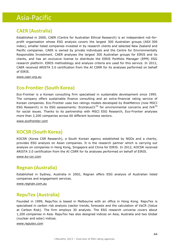# Asia-Pacific

## **CAER (Australia)**

Established in 2000, CAER (Centre for Australian Ethical Research) is an independent not-forprofit organisation whose ESG analysis covers the largest 300 Australian groups (ASX 300 index), smaller listed companies invested in by research clients and selected New Zealand and Pacific companies. CAER is owned by private individuals and the Centre for Environmentally Responsible Investment. CAER analyses the largest 300 Australian groups for EIRIS and its clients, and has an exclusive license to distribute the EIRIS Portfolio Manager (EPM) ESG research platform. EIRIS methodology and analysis criteria are used for this service. In 2012, CAER received ARISTA 3.0 certification from the AI CSRR for its analyses performed on behalf of EIRIS.

*[www.caer.org.au](http://www.caer.org.au/)*

## **Eco-Frontier (South Korea)**

Eco-Frontier is a Korean consulting firm specialised in sustainable development since 1995. The company offers sustainable finance consulting and an extra-financial rating service of Korean companies. Eco-Frontier uses two ratings models developed by RiskMetrics (now MSCI ESG Research) in its ESG assessments: EcoValue21<sup>TM</sup> for environmental concerns and IVA<sup>TM</sup> for social issues. Thanks to its partnership with MSCI ESG Research, Eco-Frontier analyses more than 2,200 companies across 60 different business sectors.

*[www.ecofrontier.com](http://www.ecofrontier.com/)*

## **KOCSR (South Korea)**

KOCSR (Korea CSR Research), a South Korean agency established by NGOs and a charity, provides ESG analysis on Asian companies. It is the research partner which is carrying out analysis on companies in Hong Kong, Singapore and China for EIRIS. In 2012, KOCSR received ARISTA 3.0 certification from the AI CSRR for its analyses performed on behalf of EIRIS.

*[www.ko-csr.com](http://www.ko-csr.com/)*

## **Regnan (Australia)**

Established in Sydney, Australia in 2002, Regnan offers ESG analysis of Australian listed companies and engagement services.

*[www.regnan.com.au](http://www.regnan.com.au/)*

## **RepuTex (Australia)**

Founded in 1999, RepuTex is based in Melbourne with an office in Hong Kong. RepuTex is specialised in carbon risk analysis (sector trends, forecasts and the calculation of VaCR (Value at Carbon Risk). The firm employs 30 analysts. The ESG research universe covers about 1,200 companies in Asia. RepuTex has also designed indices on Asia, Australia and two Global (nuclear and solar) indices.

*[www.reputex.com](http://www.reputex.com/)*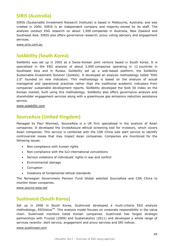## **SIRIS (Australia)**

SIRIS (Sustainable Investment Research Institute) is based in Melbourne, Australia, and was created in 2000. SIRIS is an independent company and majority-owned by its staff. The analysts conduct ESG research on about 1,500 companies in Australia, New Zealand and Southeast Asia. SIRIS also offers governance research, proxy voting advisory and engagement services.

*[www.siris.com.au](http://www.siris.com.au/)*

## **SolAbility (South Korea)**

SolAbility was set up in 2005 as a Swiss-Korean joint venture based in South Korea. It is specialised in the ESG analysis of about 2,000 companies operating in 12 countries in Southeast Asia and in Russia. SolAbility set up a web-based platform, the SolAbility Sustainable Investment Solution (SolAsis). It developed an analysis methodology called "ESG 2.0" founded on new indicators. This methodology is based on the analysis of actual managerial and operational practices rather than the traditional academic indicators from companies' sustainable development reports. SolAbility developed the SolA 50 Index on the Korean market, built using this methodology. SolAbility also offers governance analysis and shareholder engagement services along with a greenhouse gas emissions reduction assistance service.

*[www.solability.com](http://www.solability.com/)*

## **SourceAsia (United Kingdom)**

Managed by Paul Wenman, SourceAsia is a UK firm specialised in the analysis of Asian companies. It developed the InvestAssure ethical screening tool for investors, which covers Asian companies. This service is combined with the CSR China web alert service to identify controversial issues that may impact Asian companies. Companies are monitored for the following issues:

- Non-compliance with human rights
- Non-compliance with the ILO international conventions
- Serious violations of individuals' rights in war and conflict
- Environmental damage
- Corruption
- Violations of fundamental ethical standards

The Norwegian Government Pension Fund Global selected SourceAsia and CSR China to monitor Asian companies.

*[www.source-asia.net](http://www.source-asia.net/)*

## **Sustinvest (South Korea)**

Set up in 2006 in South Korea, Sustinvest developed a multi-criteria ESG analysis methodology, ESGValue<sup>TM</sup>. This analysis model focuses on corporate responsibility in the value chain. Sustinvest monitors listed Korean companies. Sustinvest has forged strategic partnerships with Trucost (2009) and Sustainalytics (2011) and developed a whole range of services recently: alert service, engagement and proxy services and SRI indices.

#### *[www.sustinvest.com](http://www.sustinvest.com/)*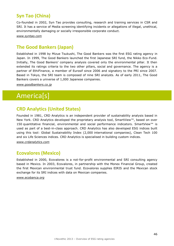## **Syn Tao (China)**

Co-founded in 2002, Syn Tao provides consulting, research and training services in CSR and SRI. It has a service of Media screening identifying incidents or allegations of illegal, unethical, environmentally damaging or socially irresponsible corporate conduct.

*[www.syntao.com](http://www.syntao.com/)*

## **The Good Bankers (Japan)**

Established in 1998 by Mizue Tsukushi, The Good Bankers was the first ESG rating agency in Japan. In 1999, The Good Bankers launched the first Japanese SRI fund, the Nikko Eco-Fund. Initially, The Good Bankers' company analysis covered only the environmental pillar. It then extended its ratings criteria to the two other pillars, social and governance. The agency is a partner of EthiFinance, a member of Eurosif since 2006 and signatory to the PRI since 2007. Based in Tokyo, the SRI team is composed of nine SRI analysts. As of early 2011, The Good Bankers covers a universe of 1,000 Japanese companies.

*[www.goodbankers.co.jp](http://www.goodbankers.co.jp/)*

# America[s]

## **CRD Analytics (United States)**

Founded in 1981, CRD Analytics is an independent provider of sustainability analysis based in New York. CRD Analytics developed the proprietary analysis tool, SmartView™, based on over 150 quantitative financial, environmental and social performance indicators. SmartView™ is used as part of a best-in-class approach. CRD Analytics has also developed ESG indices built using this tool: Global Sustainability Index (2,000 international companies), Clean Tech 100 and six Life Sciences indices. CRD Analytics is specialised in building custom indices.

*[www.crdanalytics.com](http://www.crdanalytics.com/)*

## **Ecovalores (Mexico)**

Established in 2000, Ecovalores is a not-for-profit environmental and SRI consulting agency based in Mexico. In 2003, Ecovalores, in partnership with the Monex Financial Group, created the first Mexican environmental trust fund. Ecovalores supplies EIRIS and the Mexican stock exchange for its SRI indices with data on Mexican companies.

*[www.ecobanca.org](http://www.ecobanca.org/)*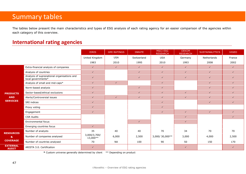# Summary tables

The tables below present the main characteristics and types of ESG analysis of each rating agency for an easier comparison of the agencies within each category of this overview.

## **International rating agencies**

|                                                  |                                                                   | <b>EIRIS</b>             | <b>GMI RATINGS</b> | <b>INRATE</b> | <b>MSCI ESG</b><br><b>RESEARCH</b> | <b>OEKOM</b><br><b>RESEARCH</b> | <b>SUSTAINALYTICS</b> | <b>VIGEO</b> |
|--------------------------------------------------|-------------------------------------------------------------------|--------------------------|--------------------|---------------|------------------------------------|---------------------------------|-----------------------|--------------|
|                                                  |                                                                   | United Kingdom           | <b>USA</b>         | Switzerland   | <b>USA</b>                         | Germany                         | Netherlands           | France       |
|                                                  |                                                                   | 1983                     | 2010               | 1995          | 2010                               | 1993                            | 2008                  | 2002         |
|                                                  | Extra-financial analysis of companies                             | $\checkmark$             | $\checkmark$       | $\checkmark$  | $\checkmark$                       | $\checkmark$                    | $\checkmark$          | $\checkmark$ |
|                                                  | Analysis of countries                                             | $\checkmark$             |                    | $\checkmark$  | $\checkmark$                       | $\checkmark$                    | $\checkmark$          | $\checkmark$ |
|                                                  | Analysis of supranational organisations and<br>local governments* | $\checkmark$             |                    | $\checkmark$  | $\checkmark$                       | $\checkmark$                    | $\checkmark$          | $\checkmark$ |
| <b>PRODUCTS</b><br><b>AND</b><br><b>SERVICES</b> | Analysis of small and mid-caps*                                   | $\checkmark$             | $\checkmark$       |               | $\checkmark$                       |                                 | $\checkmark$          | $\checkmark$ |
|                                                  | Norm-based analysis                                               | $\checkmark$             |                    | $\checkmark$  | $\checkmark$                       |                                 | $\checkmark$          | $\checkmark$ |
|                                                  | Sector-based/ethical exclusions                                   | $\checkmark$             |                    | $\checkmark$  | $\checkmark$                       | $\checkmark$                    | $\checkmark$          | $\checkmark$ |
|                                                  | Alerts/Controversial issues                                       | $\checkmark$             | $\checkmark$       | $\checkmark$  | $\checkmark$                       | $\checkmark$                    | $\checkmark$          | $\checkmark$ |
|                                                  | SRI indices                                                       | $\checkmark$             |                    |               | $\checkmark$                       |                                 | $\checkmark$          | $\checkmark$ |
|                                                  | Proxy voting                                                      | $\checkmark$             |                    |               | $\checkmark$                       |                                 |                       |              |
|                                                  | Engagement                                                        | $\checkmark$             |                    |               | $\checkmark$                       | $\checkmark$                    | $\checkmark$          | $\checkmark$ |
|                                                  | <b>CSR Audits</b>                                                 |                          |                    |               |                                    | $\checkmark$                    |                       | $\checkmark$ |
|                                                  | Environmental focus                                               |                          |                    | $\checkmark$  |                                    | $\checkmark$                    |                       |              |
|                                                  | Emerging countries focus                                          | $\checkmark$             |                    |               |                                    |                                 |                       |              |
| <b>RESOURCES</b>                                 | Number of analysts                                                | 35                       | 40                 | 40            | 70                                 | 34                              | 70                    | 70           |
| $\mathbf{a}$                                     | Number of companies analysed                                      | 3,000/3,700/<br>13,000** | 6,000              | 2,500         | 3,000/30,000**                     | 3,000                           | 4,000                 | 2,500        |
| <b>COVERAGE</b>                                  | Number of countries analysed                                      | 70                       | <b>NA</b>          | 100           | 90                                 | 50                              | 150                   | 170          |
| <b>EXTERNAL</b><br><b>AUDIT</b>                  | ARISTA 3.0. Certification                                         | $\checkmark$             |                    |               |                                    | $\checkmark$                    |                       | $\checkmark$ |

**\*** Custom universe generally determined by client \*\* Depending on product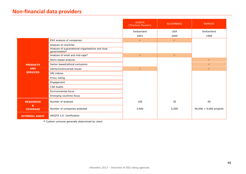## **Non-financial data providers**

|                       |                                                                   | ASSET4<br>(Thomson Reuters) | <b>BLOOMBERG</b> | <b>REPRISK</b>            |
|-----------------------|-------------------------------------------------------------------|-----------------------------|------------------|---------------------------|
|                       |                                                                   | Switzerland                 | <b>USA</b>       | Switzerland               |
|                       |                                                                   | 2003                        | 2009             | 1998                      |
|                       | ESG analysis of companies                                         | $\checkmark$                | $\checkmark$     |                           |
|                       | Analysis of countries                                             |                             |                  |                           |
|                       | Analysis of supranational organisations and local<br>governments* |                             |                  |                           |
|                       | Analysis of small and mid-caps*                                   | $\checkmark$                | $\checkmark$     |                           |
|                       | Norm-based analysis                                               |                             |                  | $\checkmark$              |
| <b>PRODUCTS</b>       | Sector-based/ethical exclusions                                   |                             |                  | $\checkmark$              |
| <b>AND</b>            | Alerts/Controversial issues                                       | $\checkmark$                |                  | $\checkmark$              |
| <b>SERVICES</b>       | SRI indices                                                       |                             |                  |                           |
|                       | Proxy voting                                                      |                             |                  |                           |
|                       | Engagement                                                        |                             |                  |                           |
|                       | <b>CSR Audits</b>                                                 |                             |                  |                           |
|                       | Environmental focus                                               |                             |                  |                           |
|                       | Emerging countries focus                                          |                             |                  |                           |
| <b>RESOURCES</b><br>& | Number of analysts                                                | 100                         | 30               | 40                        |
| <b>COVERAGE</b>       | Number of companies analysed                                      | 3,400                       | 5,000            | $40,000 + 9,000$ projects |
| <b>EXTERNAL AUDIT</b> | ARISTA 3.0. Certification                                         |                             |                  |                           |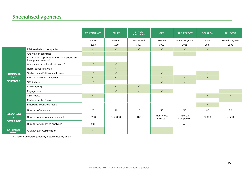## **Specialised agencies**

|                                                     |                                                                   | <b>ETHIFINANCE</b> | <b>ETHIX</b> | <b>ETHOS</b><br><b>SERVICES</b> | <b>GES</b>               | <b>MAPLECROFT</b>   | <b>SOLARON</b> | <b>TRUCOST</b> |
|-----------------------------------------------------|-------------------------------------------------------------------|--------------------|--------------|---------------------------------|--------------------------|---------------------|----------------|----------------|
|                                                     |                                                                   | France             | Sweden       | Switzerland                     | Sweden                   | United Kingdom      | India          | United Kingdom |
|                                                     |                                                                   | 2003               | 1999         | 1997                            | 1992                     | 2001                | 2007           | 2000           |
|                                                     | ESG analysis of companies                                         | $\checkmark$       | $\checkmark$ | $\checkmark$                    | $\checkmark$             | $\checkmark$        | $\checkmark$   | $\checkmark$   |
|                                                     | Analysis of countries                                             | $\checkmark$       | $\checkmark$ |                                 |                          | $\checkmark$        |                |                |
|                                                     | Analysis of supranational organisations and<br>local governments* |                    |              |                                 |                          |                     |                |                |
|                                                     | Analysis of small and mid-caps*                                   | $\checkmark$       | $\checkmark$ |                                 |                          |                     |                |                |
|                                                     | Norm-based analysis                                               |                    | $\checkmark$ |                                 | $\checkmark$             |                     |                |                |
| <b>PRODUCTS</b>                                     | Sector-based/ethical exclusions                                   | $\checkmark$       | $\checkmark$ |                                 | $\checkmark$             |                     | $\checkmark$   |                |
| <b>AND</b><br><b>SERVICES</b>                       | Alerts/Controversial issues                                       | $\checkmark$       | $\checkmark$ |                                 | $\checkmark$             | $\checkmark$        | $\checkmark$   |                |
|                                                     | SRI indices                                                       | $\checkmark$       |              |                                 | $\checkmark$             | $\checkmark$        |                |                |
|                                                     | Proxy voting                                                      |                    | $\checkmark$ | $\checkmark$                    |                          |                     |                |                |
|                                                     | Engagement                                                        |                    | $\checkmark$ | $\checkmark$                    | $\checkmark$             |                     |                | $\checkmark$   |
|                                                     | <b>CSR Audits</b>                                                 | $\checkmark$       |              |                                 |                          |                     | $\checkmark$   | $\checkmark$   |
|                                                     | Environmental focus                                               |                    |              |                                 |                          |                     |                | $\checkmark$   |
|                                                     | Emerging countries focus                                          |                    |              |                                 |                          |                     | $\checkmark$   |                |
|                                                     | Number of analysts                                                | $\overline{7}$     | 20           | 15                              | 50                       | 50                  | 65             | 20             |
| <b>RESOURCES</b><br>$\mathbf{a}$<br><b>COVERAGE</b> | Number of companies analysed                                      | 200                | > 7,000      | 100                             | "main global<br>indices" | 360 US<br>companies | 3,000          | 4,500          |
|                                                     | Number of countries analysed                                      | 106                |              |                                 |                          | All                 |                |                |
| <b>EXTERNAL</b><br><b>AUDIT</b>                     | ARISTA 3.0. Certification                                         | $\checkmark$       |              |                                 | $\checkmark$             |                     |                |                |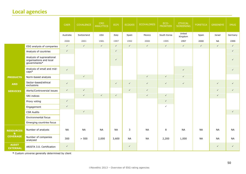## **Local agencies**

|                                  |                                                                      | CAER         | <b>COVALENCE</b> | <b>CRD</b><br>ANALYTICS | ECPI         | <b>ECODES</b> | <b>ECOVALORES</b> | ECO-<br><b>FRONTIER</b> | <b>ETHICAL</b><br><b>SCREENING</b> | <b>FORETICA</b> | <b>GREENEYE</b> | <b>IMUG</b>  |
|----------------------------------|----------------------------------------------------------------------|--------------|------------------|-------------------------|--------------|---------------|-------------------|-------------------------|------------------------------------|-----------------|-----------------|--------------|
|                                  |                                                                      | Australia    | Switzerland      | <b>USA</b>              | Italy        | Spain         | Mexico            | South Korea             | United<br>Kingdom                  | Spain           | Israel          | Germany      |
|                                  |                                                                      | 2000         | 2001             | 1981                    | 1997         | 1992          | 2000              | 1995                    | 1997                               | 2000            | <b>NA</b>       | 1999         |
|                                  | ESG analysis of companies                                            | $\checkmark$ | $\checkmark$     | $\checkmark$            | $\checkmark$ | $\checkmark$  | $\checkmark$      | $\checkmark$            | $\checkmark$                       | $\checkmark$    | $\checkmark$    | $\checkmark$ |
|                                  | Analysis of countries                                                | $\checkmark$ |                  |                         | $\checkmark$ |               |                   |                         |                                    |                 |                 | $\checkmark$ |
|                                  | Analysis of supranational<br>organisations and local<br>governments* |              |                  |                         | $\checkmark$ |               |                   |                         |                                    |                 |                 | $\checkmark$ |
|                                  | Analysis of small and mid-<br>$caps*$                                | $\checkmark$ |                  |                         |              |               |                   |                         | $\checkmark$                       |                 |                 | $\checkmark$ |
| <b>PRODUCTS</b>                  | Norm-based analysis                                                  |              | $\checkmark$     |                         |              |               | $\checkmark$      | $\checkmark$            | $\checkmark$                       |                 |                 |              |
| <b>AND</b>                       | Sector-based/ethical<br>exclusions                                   | $\checkmark$ |                  |                         | $\checkmark$ | $\checkmark$  | $\checkmark$      | $\checkmark$            | $\checkmark$                       |                 | $\checkmark$    | $\checkmark$ |
| <b>SERVICES</b>                  | Alerts/Controversial issues                                          | $\checkmark$ | $\checkmark$     |                         |              | $\checkmark$  | $\checkmark$      |                         |                                    |                 | $\checkmark$    | $\checkmark$ |
|                                  | SRI indices                                                          |              | $\checkmark$     | $\checkmark$            | $\checkmark$ |               | $\checkmark$      | $\checkmark$            |                                    |                 | $\checkmark$    |              |
|                                  | Proxy voting                                                         | $\checkmark$ |                  |                         |              |               |                   | $\checkmark$            |                                    |                 |                 |              |
|                                  | Engagement                                                           | $\checkmark$ |                  |                         |              |               |                   | $\checkmark$            |                                    |                 |                 |              |
|                                  | <b>CSR Audits</b>                                                    |              | $\checkmark$     |                         |              |               |                   |                         |                                    |                 |                 | $\checkmark$ |
|                                  | Environmental focus                                                  |              |                  |                         |              |               |                   |                         |                                    |                 |                 |              |
|                                  | Emerging countries focus                                             |              |                  |                         |              |               |                   |                         |                                    |                 |                 |              |
| <b>RESOURCES</b><br>$\mathbf{a}$ | Number of analysts                                                   | <b>NA</b>    | <b>NA</b>        | <b>NA</b>               | <b>NA</b>    | 3             | <b>NA</b>         | 8                       | <b>NA</b>                          | <b>NA</b>       | <b>NA</b>       | <b>NA</b>    |
| <b>COVERAGE</b>                  | Number of companies<br>analysed                                      | 300          | > 500            | 2,000                   | 3,600        | <b>NA</b>     | <b>NA</b>         | 2,200                   | 1,000                              | <b>NA</b>       | <b>NA</b>       | <b>NA</b>    |
| <b>AUDIT</b><br><b>EXTERNAL</b>  | ARISTA 3.0. Certification                                            | $\checkmark$ |                  |                         |              | $\checkmark$  |                   |                         |                                    |                 | $\checkmark$    | $\checkmark$ |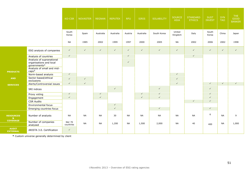|                                  |                                                                      | KO-CSR              | <b>NOVASTER</b> | <b>REGNAN</b> | <b>REPUTEX</b> | <b>RFU</b>   | <b>SIRIS</b> | <b>SOLABILITY</b> | <b>SOURCE</b><br><b>ASIA</b> | <b>STANDARD</b><br><b>ETHICS</b> | <b>SUST</b><br><b>INVEST</b> | <b>SYN</b><br><b>TAO</b> | THE<br><b>GOOD</b><br><b>BANKER</b> |
|----------------------------------|----------------------------------------------------------------------|---------------------|-----------------|---------------|----------------|--------------|--------------|-------------------|------------------------------|----------------------------------|------------------------------|--------------------------|-------------------------------------|
|                                  |                                                                      | South<br>Korea      | Spain           | Australia     | Australia      | Austria      | Australia    | South Korea       | United<br>Kingdom            | Italy                            | South<br>Korea               | China                    | Japan                               |
|                                  |                                                                      | <b>NA</b>           | 1985            | 2002          | 1999           | 1997         | 2000         | 2005              | <b>NA</b>                    | 2002                             | 2006                         | 2002                     | 1998                                |
|                                  | ESG analysis of companies                                            | $\checkmark$        | $\checkmark$    | $\checkmark$  | $\checkmark$   | $\checkmark$ | $\checkmark$ | $\checkmark$      | $\checkmark$                 | $\checkmark$                     | $\checkmark$                 | $\checkmark$             | $\checkmark$                        |
|                                  | Analysis of countries                                                | $\checkmark$        |                 |               |                | $\checkmark$ |              |                   |                              | $\checkmark$                     |                              |                          |                                     |
|                                  | Analysis of supranational<br>organisations and local<br>governments* |                     |                 |               |                | $\checkmark$ |              |                   |                              |                                  |                              |                          |                                     |
|                                  | Analysis of small and mid-                                           |                     |                 |               |                |              |              |                   |                              |                                  |                              |                          |                                     |
| <b>PRODUCTS</b>                  | $caps^*$<br>Norm-based analysis                                      | $\checkmark$        |                 |               |                |              |              |                   | $\checkmark$                 |                                  |                              |                          |                                     |
| <b>AND</b>                       | Sector-based/ethical<br>exclusions                                   | $\checkmark$        | $\checkmark$    |               |                |              |              |                   | $\checkmark$                 |                                  |                              |                          |                                     |
| <b>SERVICES</b>                  | Alerts/Controversial issues                                          | $\checkmark$        | $\checkmark$    |               |                |              |              |                   | $\checkmark$                 |                                  | $\checkmark$                 | $\checkmark$             | $\checkmark$                        |
|                                  | SRI indices                                                          |                     |                 |               | $\checkmark$   |              |              | $\checkmark$      |                              |                                  | $\checkmark$                 |                          |                                     |
|                                  | Proxy voting                                                         | $\checkmark$        |                 | $\checkmark$  |                |              | $\checkmark$ | $\checkmark$      |                              |                                  | $\checkmark$                 |                          |                                     |
|                                  | Engagement                                                           | $\checkmark$        |                 | $\checkmark$  |                |              | $\checkmark$ | $\checkmark$      |                              |                                  | $\checkmark$                 |                          |                                     |
|                                  | <b>CSR Audits</b>                                                    |                     |                 |               |                |              |              |                   |                              | $\checkmark$                     | $\checkmark$                 |                          |                                     |
|                                  | Environmental focus                                                  |                     |                 |               | $\checkmark$   |              |              |                   |                              |                                  |                              |                          |                                     |
|                                  | Emerging countries focus                                             |                     |                 |               | $\checkmark$   |              |              | $\checkmark$      |                              |                                  | $\checkmark$                 |                          |                                     |
| <b>RESOURCES</b><br>$\mathbf{a}$ | Number of analysts                                                   | <b>NA</b>           | <b>NA</b>       | <b>NA</b>     | 30             | <b>NA</b>    | <b>NA</b>    | <b>NA</b>         | <b>NA</b>                    | <b>NA</b>                        | 6                            | <b>NA</b>                | 9                                   |
| <b>COVERAGE</b>                  | Number of companies<br>analysed                                      | NA/ 70<br>countries | <b>NA</b>       | NA            | 1,200          | <b>NA</b>    | 1,500        | 2,000             | <b>NA</b>                    | 40                               | 400                          | <b>NA</b>                | 1,000                               |
| <b>AUDIT</b><br><b>EXTERNAL</b>  | ARISTA 3.0. Certification                                            | $\checkmark$        |                 |               |                |              |              |                   |                              |                                  |                              |                          |                                     |